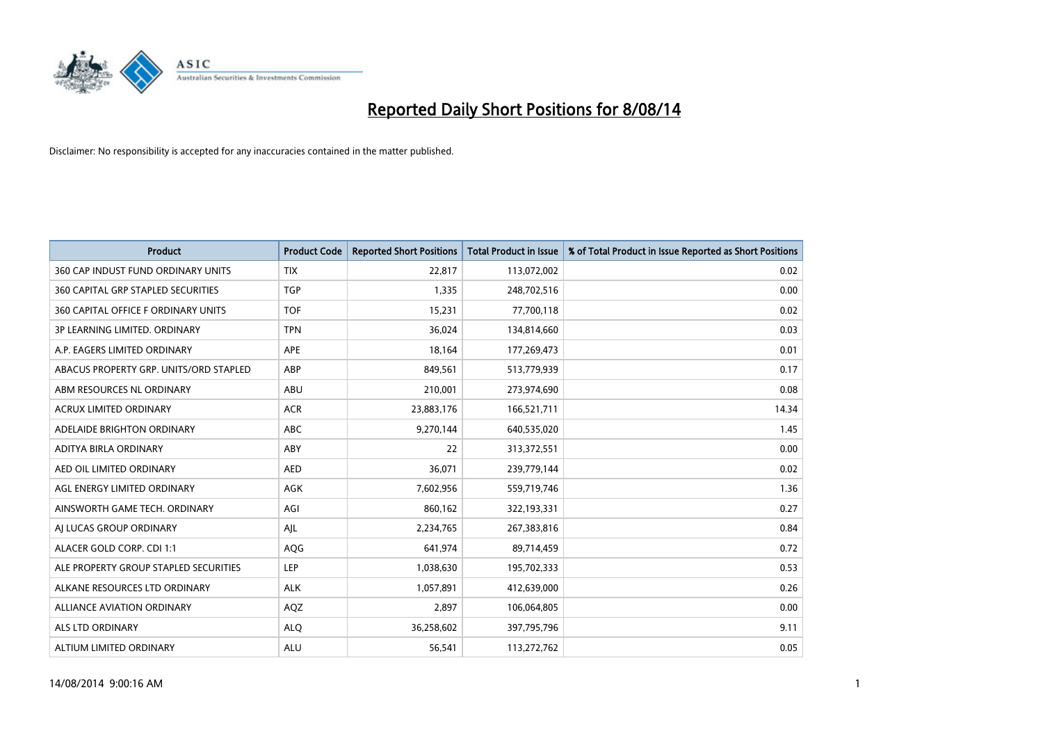

| <b>Product</b>                         | <b>Product Code</b> | <b>Reported Short Positions</b> | <b>Total Product in Issue</b> | % of Total Product in Issue Reported as Short Positions |
|----------------------------------------|---------------------|---------------------------------|-------------------------------|---------------------------------------------------------|
| 360 CAP INDUST FUND ORDINARY UNITS     | <b>TIX</b>          | 22,817                          | 113,072,002                   | 0.02                                                    |
| 360 CAPITAL GRP STAPLED SECURITIES     | <b>TGP</b>          | 1,335                           | 248,702,516                   | 0.00                                                    |
| 360 CAPITAL OFFICE F ORDINARY UNITS    | <b>TOF</b>          | 15,231                          | 77,700,118                    | 0.02                                                    |
| 3P LEARNING LIMITED. ORDINARY          | <b>TPN</b>          | 36,024                          | 134,814,660                   | 0.03                                                    |
| A.P. EAGERS LIMITED ORDINARY           | APE                 | 18,164                          | 177,269,473                   | 0.01                                                    |
| ABACUS PROPERTY GRP. UNITS/ORD STAPLED | ABP                 | 849,561                         | 513,779,939                   | 0.17                                                    |
| ABM RESOURCES NL ORDINARY              | ABU                 | 210,001                         | 273,974,690                   | 0.08                                                    |
| ACRUX LIMITED ORDINARY                 | <b>ACR</b>          | 23,883,176                      | 166,521,711                   | 14.34                                                   |
| ADELAIDE BRIGHTON ORDINARY             | <b>ABC</b>          | 9,270,144                       | 640,535,020                   | 1.45                                                    |
| ADITYA BIRLA ORDINARY                  | ABY                 | 22                              | 313,372,551                   | 0.00                                                    |
| AED OIL LIMITED ORDINARY               | <b>AED</b>          | 36,071                          | 239,779,144                   | 0.02                                                    |
| AGL ENERGY LIMITED ORDINARY            | AGK                 | 7,602,956                       | 559,719,746                   | 1.36                                                    |
| AINSWORTH GAME TECH. ORDINARY          | AGI                 | 860,162                         | 322,193,331                   | 0.27                                                    |
| AI LUCAS GROUP ORDINARY                | AJL                 | 2,234,765                       | 267,383,816                   | 0.84                                                    |
| ALACER GOLD CORP. CDI 1:1              | AQG                 | 641,974                         | 89,714,459                    | 0.72                                                    |
| ALE PROPERTY GROUP STAPLED SECURITIES  | LEP                 | 1,038,630                       | 195,702,333                   | 0.53                                                    |
| ALKANE RESOURCES LTD ORDINARY          | <b>ALK</b>          | 1,057,891                       | 412,639,000                   | 0.26                                                    |
| <b>ALLIANCE AVIATION ORDINARY</b>      | AQZ                 | 2,897                           | 106,064,805                   | 0.00                                                    |
| ALS LTD ORDINARY                       | <b>ALO</b>          | 36,258,602                      | 397,795,796                   | 9.11                                                    |
| ALTIUM LIMITED ORDINARY                | <b>ALU</b>          | 56,541                          | 113,272,762                   | 0.05                                                    |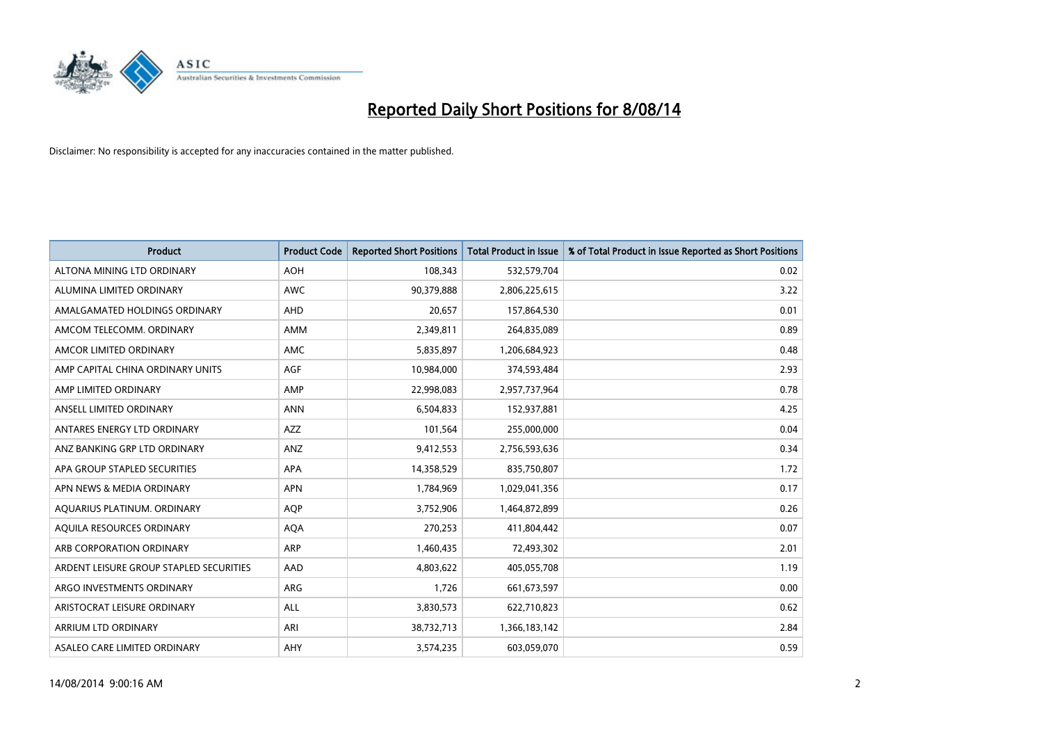

| <b>Product</b>                          | <b>Product Code</b> | <b>Reported Short Positions</b> | <b>Total Product in Issue</b> | % of Total Product in Issue Reported as Short Positions |
|-----------------------------------------|---------------------|---------------------------------|-------------------------------|---------------------------------------------------------|
| ALTONA MINING LTD ORDINARY              | <b>AOH</b>          | 108,343                         | 532,579,704                   | 0.02                                                    |
| ALUMINA LIMITED ORDINARY                | AWC                 | 90,379,888                      | 2,806,225,615                 | 3.22                                                    |
| AMALGAMATED HOLDINGS ORDINARY           | AHD                 | 20,657                          | 157,864,530                   | 0.01                                                    |
| AMCOM TELECOMM. ORDINARY                | AMM                 | 2,349,811                       | 264,835,089                   | 0.89                                                    |
| AMCOR LIMITED ORDINARY                  | AMC                 | 5,835,897                       | 1,206,684,923                 | 0.48                                                    |
| AMP CAPITAL CHINA ORDINARY UNITS        | <b>AGF</b>          | 10,984,000                      | 374,593,484                   | 2.93                                                    |
| AMP LIMITED ORDINARY                    | AMP                 | 22,998,083                      | 2,957,737,964                 | 0.78                                                    |
| ANSELL LIMITED ORDINARY                 | <b>ANN</b>          | 6,504,833                       | 152,937,881                   | 4.25                                                    |
| ANTARES ENERGY LTD ORDINARY             | <b>AZZ</b>          | 101,564                         | 255,000,000                   | 0.04                                                    |
| ANZ BANKING GRP LTD ORDINARY            | ANZ                 | 9,412,553                       | 2,756,593,636                 | 0.34                                                    |
| APA GROUP STAPLED SECURITIES            | APA                 | 14,358,529                      | 835,750,807                   | 1.72                                                    |
| APN NEWS & MEDIA ORDINARY               | <b>APN</b>          | 1,784,969                       | 1,029,041,356                 | 0.17                                                    |
| AQUARIUS PLATINUM. ORDINARY             | <b>AOP</b>          | 3,752,906                       | 1,464,872,899                 | 0.26                                                    |
| AQUILA RESOURCES ORDINARY               | <b>AQA</b>          | 270,253                         | 411,804,442                   | 0.07                                                    |
| ARB CORPORATION ORDINARY                | ARP                 | 1,460,435                       | 72,493,302                    | 2.01                                                    |
| ARDENT LEISURE GROUP STAPLED SECURITIES | AAD                 | 4,803,622                       | 405,055,708                   | 1.19                                                    |
| ARGO INVESTMENTS ORDINARY               | ARG                 | 1,726                           | 661,673,597                   | 0.00                                                    |
| ARISTOCRAT LEISURE ORDINARY             | <b>ALL</b>          | 3,830,573                       | 622,710,823                   | 0.62                                                    |
| ARRIUM LTD ORDINARY                     | ARI                 | 38,732,713                      | 1,366,183,142                 | 2.84                                                    |
| ASALEO CARE LIMITED ORDINARY            | AHY                 | 3,574,235                       | 603,059,070                   | 0.59                                                    |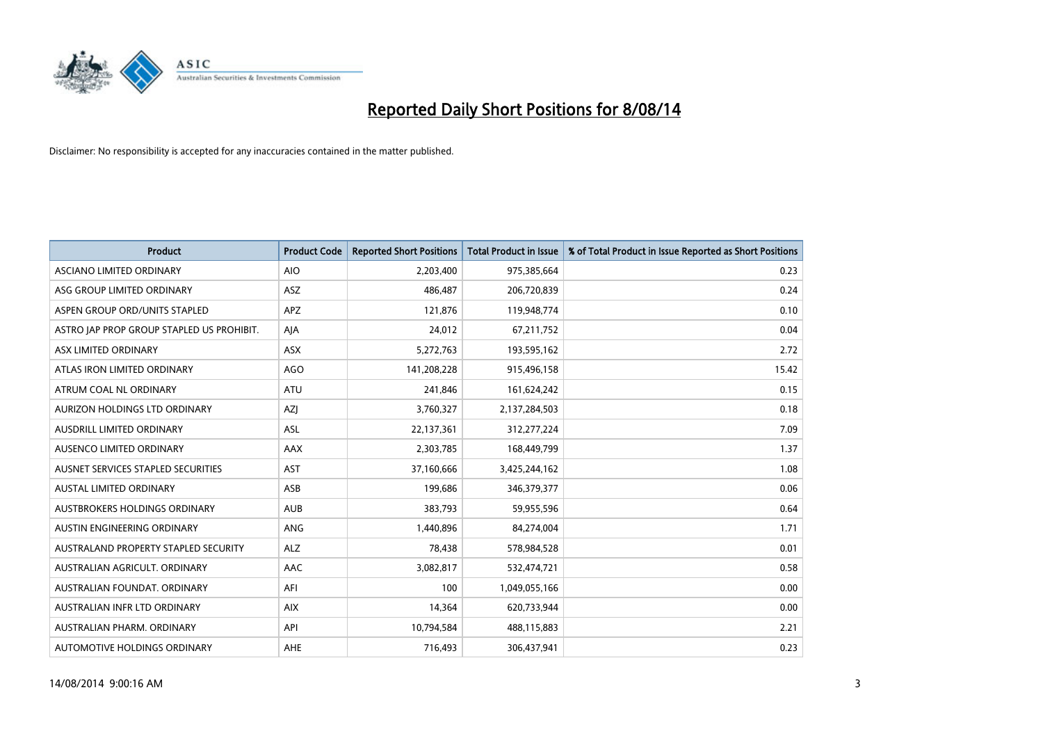

| <b>Product</b>                            | <b>Product Code</b> | <b>Reported Short Positions</b> | <b>Total Product in Issue</b> | % of Total Product in Issue Reported as Short Positions |
|-------------------------------------------|---------------------|---------------------------------|-------------------------------|---------------------------------------------------------|
| ASCIANO LIMITED ORDINARY                  | <b>AIO</b>          | 2,203,400                       | 975,385,664                   | 0.23                                                    |
| ASG GROUP LIMITED ORDINARY                | ASZ                 | 486,487                         | 206,720,839                   | 0.24                                                    |
| ASPEN GROUP ORD/UNITS STAPLED             | <b>APZ</b>          | 121,876                         | 119,948,774                   | 0.10                                                    |
| ASTRO JAP PROP GROUP STAPLED US PROHIBIT. | AJA                 | 24,012                          | 67,211,752                    | 0.04                                                    |
| ASX LIMITED ORDINARY                      | ASX                 | 5,272,763                       | 193,595,162                   | 2.72                                                    |
| ATLAS IRON LIMITED ORDINARY               | <b>AGO</b>          | 141,208,228                     | 915,496,158                   | 15.42                                                   |
| ATRUM COAL NL ORDINARY                    | ATU                 | 241,846                         | 161,624,242                   | 0.15                                                    |
| AURIZON HOLDINGS LTD ORDINARY             | AZJ                 | 3,760,327                       | 2,137,284,503                 | 0.18                                                    |
| AUSDRILL LIMITED ORDINARY                 | <b>ASL</b>          | 22,137,361                      | 312,277,224                   | 7.09                                                    |
| AUSENCO LIMITED ORDINARY                  | AAX                 | 2,303,785                       | 168,449,799                   | 1.37                                                    |
| AUSNET SERVICES STAPLED SECURITIES        | <b>AST</b>          | 37,160,666                      | 3,425,244,162                 | 1.08                                                    |
| <b>AUSTAL LIMITED ORDINARY</b>            | ASB                 | 199,686                         | 346,379,377                   | 0.06                                                    |
| AUSTBROKERS HOLDINGS ORDINARY             | <b>AUB</b>          | 383,793                         | 59,955,596                    | 0.64                                                    |
| AUSTIN ENGINEERING ORDINARY               | ANG                 | 1,440,896                       | 84,274,004                    | 1.71                                                    |
| AUSTRALAND PROPERTY STAPLED SECURITY      | <b>ALZ</b>          | 78,438                          | 578,984,528                   | 0.01                                                    |
| AUSTRALIAN AGRICULT. ORDINARY             | AAC                 | 3,082,817                       | 532,474,721                   | 0.58                                                    |
| AUSTRALIAN FOUNDAT. ORDINARY              | AFI                 | 100                             | 1,049,055,166                 | 0.00                                                    |
| AUSTRALIAN INFR LTD ORDINARY              | <b>AIX</b>          | 14,364                          | 620,733,944                   | 0.00                                                    |
| AUSTRALIAN PHARM, ORDINARY                | API                 | 10,794,584                      | 488,115,883                   | 2.21                                                    |
| AUTOMOTIVE HOLDINGS ORDINARY              | AHE                 | 716,493                         | 306,437,941                   | 0.23                                                    |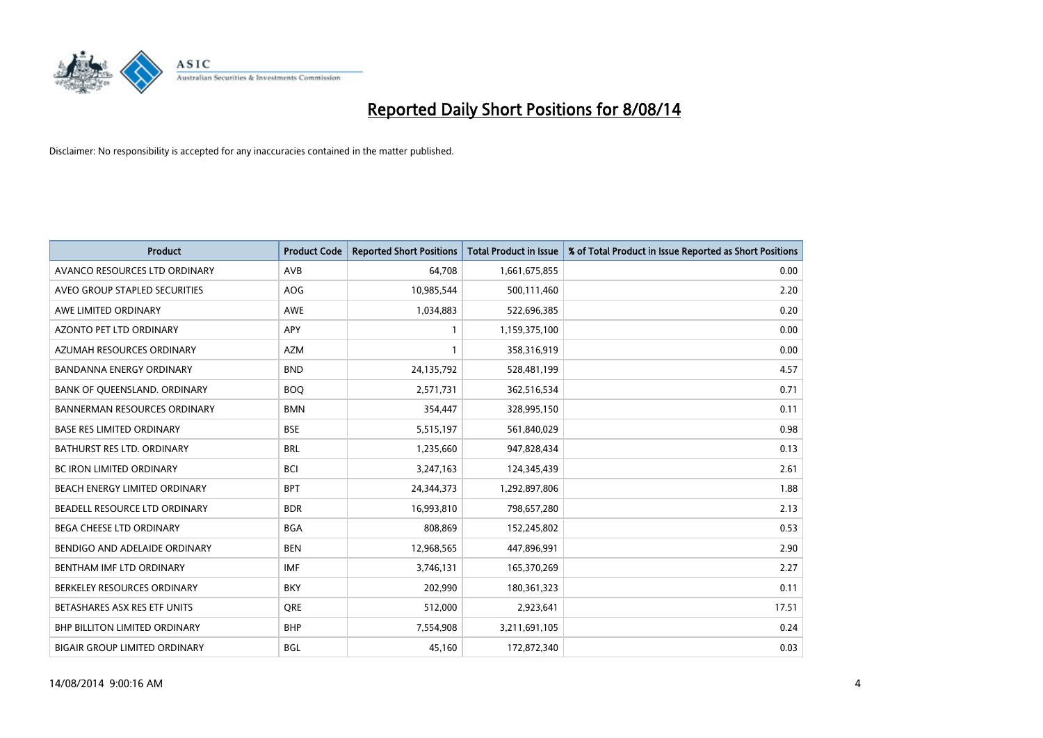

| <b>Product</b>                       | <b>Product Code</b> | <b>Reported Short Positions</b> | <b>Total Product in Issue</b> | % of Total Product in Issue Reported as Short Positions |
|--------------------------------------|---------------------|---------------------------------|-------------------------------|---------------------------------------------------------|
| AVANCO RESOURCES LTD ORDINARY        | AVB                 | 64,708                          | 1,661,675,855                 | 0.00                                                    |
| AVEO GROUP STAPLED SECURITIES        | AOG                 | 10,985,544                      | 500,111,460                   | 2.20                                                    |
| AWE LIMITED ORDINARY                 | AWE                 | 1,034,883                       | 522,696,385                   | 0.20                                                    |
| AZONTO PET LTD ORDINARY              | APY                 | 1                               | 1,159,375,100                 | 0.00                                                    |
| AZUMAH RESOURCES ORDINARY            | <b>AZM</b>          | 1                               | 358,316,919                   | 0.00                                                    |
| <b>BANDANNA ENERGY ORDINARY</b>      | <b>BND</b>          | 24,135,792                      | 528,481,199                   | 4.57                                                    |
| BANK OF QUEENSLAND. ORDINARY         | <b>BOO</b>          | 2,571,731                       | 362,516,534                   | 0.71                                                    |
| <b>BANNERMAN RESOURCES ORDINARY</b>  | <b>BMN</b>          | 354,447                         | 328,995,150                   | 0.11                                                    |
| <b>BASE RES LIMITED ORDINARY</b>     | <b>BSE</b>          | 5,515,197                       | 561,840,029                   | 0.98                                                    |
| <b>BATHURST RES LTD. ORDINARY</b>    | <b>BRL</b>          | 1,235,660                       | 947,828,434                   | 0.13                                                    |
| BC IRON LIMITED ORDINARY             | <b>BCI</b>          | 3,247,163                       | 124,345,439                   | 2.61                                                    |
| BEACH ENERGY LIMITED ORDINARY        | <b>BPT</b>          | 24,344,373                      | 1,292,897,806                 | 1.88                                                    |
| BEADELL RESOURCE LTD ORDINARY        | <b>BDR</b>          | 16,993,810                      | 798,657,280                   | 2.13                                                    |
| <b>BEGA CHEESE LTD ORDINARY</b>      | <b>BGA</b>          | 808,869                         | 152,245,802                   | 0.53                                                    |
| BENDIGO AND ADELAIDE ORDINARY        | <b>BEN</b>          | 12,968,565                      | 447,896,991                   | 2.90                                                    |
| BENTHAM IMF LTD ORDINARY             | <b>IMF</b>          | 3,746,131                       | 165,370,269                   | 2.27                                                    |
| BERKELEY RESOURCES ORDINARY          | <b>BKY</b>          | 202,990                         | 180,361,323                   | 0.11                                                    |
| BETASHARES ASX RES ETF UNITS         | <b>ORE</b>          | 512,000                         | 2,923,641                     | 17.51                                                   |
| <b>BHP BILLITON LIMITED ORDINARY</b> | <b>BHP</b>          | 7,554,908                       | 3,211,691,105                 | 0.24                                                    |
| <b>BIGAIR GROUP LIMITED ORDINARY</b> | <b>BGL</b>          | 45,160                          | 172,872,340                   | 0.03                                                    |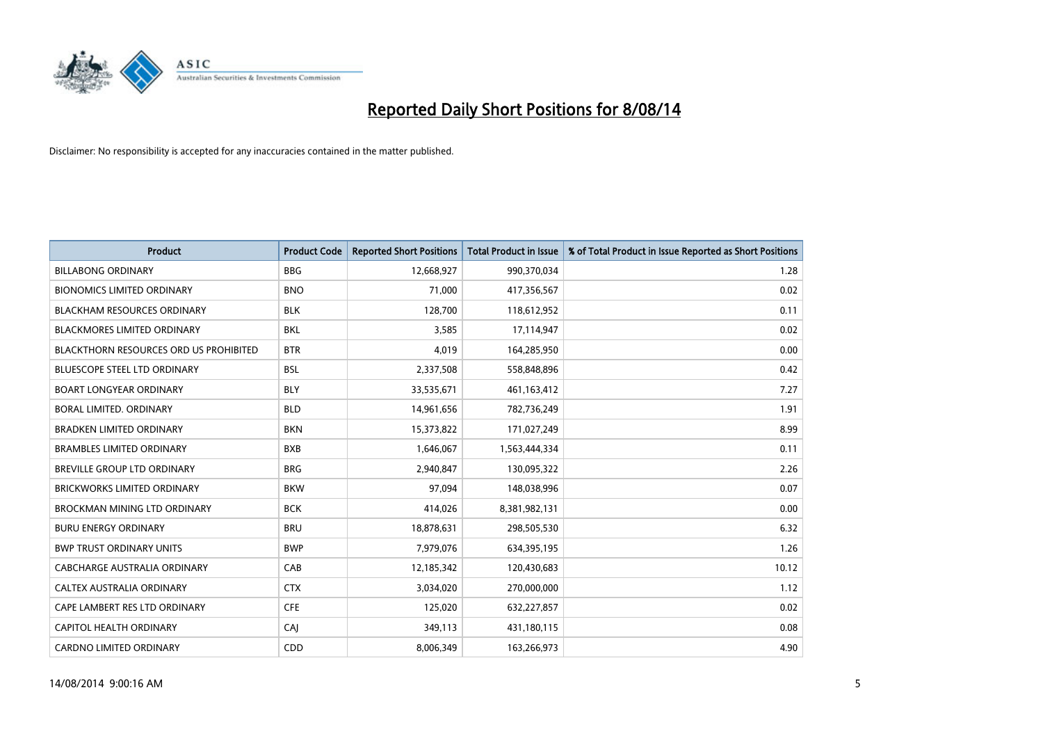

| <b>Product</b>                                | <b>Product Code</b> | <b>Reported Short Positions</b> | <b>Total Product in Issue</b> | % of Total Product in Issue Reported as Short Positions |
|-----------------------------------------------|---------------------|---------------------------------|-------------------------------|---------------------------------------------------------|
| <b>BILLABONG ORDINARY</b>                     | <b>BBG</b>          | 12,668,927                      | 990,370,034                   | 1.28                                                    |
| <b>BIONOMICS LIMITED ORDINARY</b>             | <b>BNO</b>          | 71.000                          | 417,356,567                   | 0.02                                                    |
| <b>BLACKHAM RESOURCES ORDINARY</b>            | <b>BLK</b>          | 128,700                         | 118,612,952                   | 0.11                                                    |
| <b>BLACKMORES LIMITED ORDINARY</b>            | <b>BKL</b>          | 3,585                           | 17,114,947                    | 0.02                                                    |
| <b>BLACKTHORN RESOURCES ORD US PROHIBITED</b> | <b>BTR</b>          | 4,019                           | 164,285,950                   | 0.00                                                    |
| <b>BLUESCOPE STEEL LTD ORDINARY</b>           | <b>BSL</b>          | 2,337,508                       | 558,848,896                   | 0.42                                                    |
| <b>BOART LONGYEAR ORDINARY</b>                | <b>BLY</b>          | 33,535,671                      | 461,163,412                   | 7.27                                                    |
| <b>BORAL LIMITED, ORDINARY</b>                | <b>BLD</b>          | 14,961,656                      | 782,736,249                   | 1.91                                                    |
| <b>BRADKEN LIMITED ORDINARY</b>               | <b>BKN</b>          | 15,373,822                      | 171,027,249                   | 8.99                                                    |
| <b>BRAMBLES LIMITED ORDINARY</b>              | <b>BXB</b>          | 1,646,067                       | 1,563,444,334                 | 0.11                                                    |
| <b>BREVILLE GROUP LTD ORDINARY</b>            | <b>BRG</b>          | 2,940,847                       | 130,095,322                   | 2.26                                                    |
| <b>BRICKWORKS LIMITED ORDINARY</b>            | <b>BKW</b>          | 97,094                          | 148,038,996                   | 0.07                                                    |
| BROCKMAN MINING LTD ORDINARY                  | <b>BCK</b>          | 414.026                         | 8,381,982,131                 | 0.00                                                    |
| <b>BURU ENERGY ORDINARY</b>                   | <b>BRU</b>          | 18,878,631                      | 298,505,530                   | 6.32                                                    |
| <b>BWP TRUST ORDINARY UNITS</b>               | <b>BWP</b>          | 7,979,076                       | 634,395,195                   | 1.26                                                    |
| <b>CABCHARGE AUSTRALIA ORDINARY</b>           | CAB                 | 12,185,342                      | 120,430,683                   | 10.12                                                   |
| CALTEX AUSTRALIA ORDINARY                     | <b>CTX</b>          | 3,034,020                       | 270,000,000                   | 1.12                                                    |
| CAPE LAMBERT RES LTD ORDINARY                 | <b>CFE</b>          | 125,020                         | 632,227,857                   | 0.02                                                    |
| CAPITOL HEALTH ORDINARY                       | CAI                 | 349,113                         | 431,180,115                   | 0.08                                                    |
| <b>CARDNO LIMITED ORDINARY</b>                | CDD                 | 8,006,349                       | 163,266,973                   | 4.90                                                    |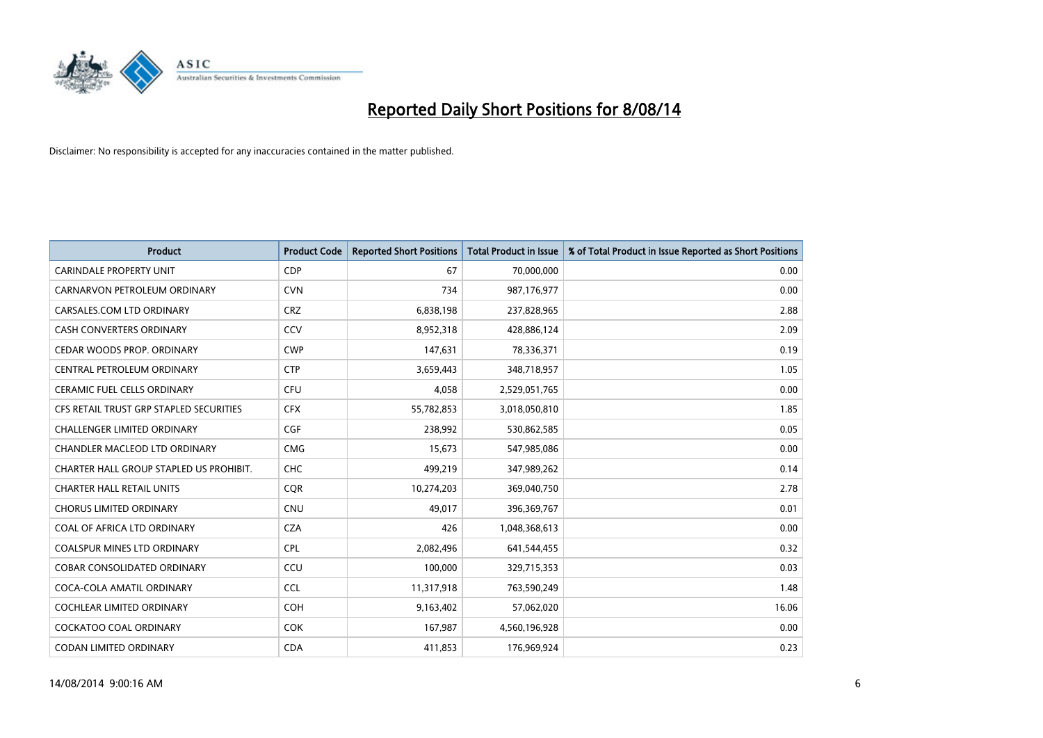

| <b>Product</b>                          | <b>Product Code</b> | <b>Reported Short Positions</b> | <b>Total Product in Issue</b> | % of Total Product in Issue Reported as Short Positions |
|-----------------------------------------|---------------------|---------------------------------|-------------------------------|---------------------------------------------------------|
| CARINDALE PROPERTY UNIT                 | <b>CDP</b>          | 67                              | 70,000,000                    | 0.00                                                    |
| CARNARVON PETROLEUM ORDINARY            | <b>CVN</b>          | 734                             | 987,176,977                   | 0.00                                                    |
| CARSALES.COM LTD ORDINARY               | <b>CRZ</b>          | 6,838,198                       | 237,828,965                   | 2.88                                                    |
| <b>CASH CONVERTERS ORDINARY</b>         | CCV                 | 8,952,318                       | 428,886,124                   | 2.09                                                    |
| CEDAR WOODS PROP. ORDINARY              | <b>CWP</b>          | 147,631                         | 78,336,371                    | 0.19                                                    |
| CENTRAL PETROLEUM ORDINARY              | <b>CTP</b>          | 3,659,443                       | 348,718,957                   | 1.05                                                    |
| <b>CERAMIC FUEL CELLS ORDINARY</b>      | <b>CFU</b>          | 4,058                           | 2,529,051,765                 | 0.00                                                    |
| CFS RETAIL TRUST GRP STAPLED SECURITIES | <b>CFX</b>          | 55,782,853                      | 3,018,050,810                 | 1.85                                                    |
| <b>CHALLENGER LIMITED ORDINARY</b>      | <b>CGF</b>          | 238,992                         | 530,862,585                   | 0.05                                                    |
| CHANDLER MACLEOD LTD ORDINARY           | <b>CMG</b>          | 15,673                          | 547,985,086                   | 0.00                                                    |
| CHARTER HALL GROUP STAPLED US PROHIBIT. | <b>CHC</b>          | 499,219                         | 347,989,262                   | 0.14                                                    |
| <b>CHARTER HALL RETAIL UNITS</b>        | <b>CQR</b>          | 10,274,203                      | 369,040,750                   | 2.78                                                    |
| <b>CHORUS LIMITED ORDINARY</b>          | <b>CNU</b>          | 49,017                          | 396,369,767                   | 0.01                                                    |
| COAL OF AFRICA LTD ORDINARY             | <b>CZA</b>          | 426                             | 1,048,368,613                 | 0.00                                                    |
| <b>COALSPUR MINES LTD ORDINARY</b>      | <b>CPL</b>          | 2,082,496                       | 641,544,455                   | 0.32                                                    |
| <b>COBAR CONSOLIDATED ORDINARY</b>      | CCU                 | 100,000                         | 329,715,353                   | 0.03                                                    |
| COCA-COLA AMATIL ORDINARY               | <b>CCL</b>          | 11,317,918                      | 763,590,249                   | 1.48                                                    |
| <b>COCHLEAR LIMITED ORDINARY</b>        | <b>COH</b>          | 9,163,402                       | 57,062,020                    | 16.06                                                   |
| <b>COCKATOO COAL ORDINARY</b>           | <b>COK</b>          | 167,987                         | 4,560,196,928                 | 0.00                                                    |
| CODAN LIMITED ORDINARY                  | <b>CDA</b>          | 411,853                         | 176,969,924                   | 0.23                                                    |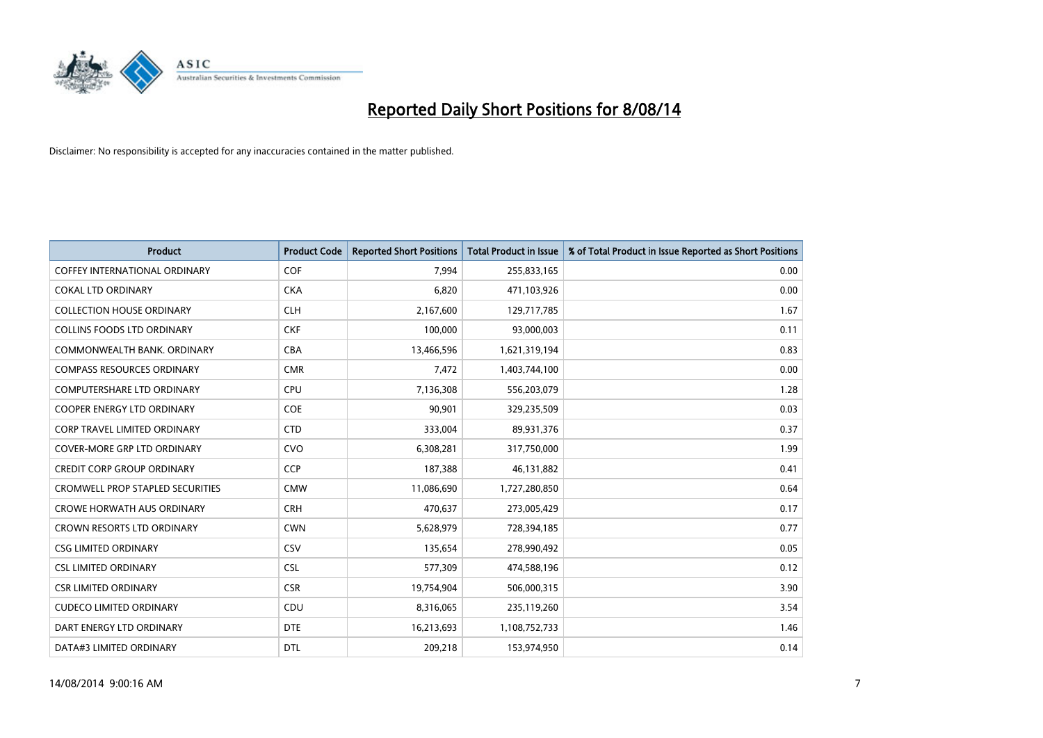

| <b>Product</b>                          | <b>Product Code</b> | <b>Reported Short Positions</b> | <b>Total Product in Issue</b> | % of Total Product in Issue Reported as Short Positions |
|-----------------------------------------|---------------------|---------------------------------|-------------------------------|---------------------------------------------------------|
| <b>COFFEY INTERNATIONAL ORDINARY</b>    | <b>COF</b>          | 7,994                           | 255,833,165                   | 0.00                                                    |
| <b>COKAL LTD ORDINARY</b>               | <b>CKA</b>          | 6,820                           | 471,103,926                   | 0.00                                                    |
| <b>COLLECTION HOUSE ORDINARY</b>        | <b>CLH</b>          | 2,167,600                       | 129,717,785                   | 1.67                                                    |
| <b>COLLINS FOODS LTD ORDINARY</b>       | <b>CKF</b>          | 100,000                         | 93,000,003                    | 0.11                                                    |
| COMMONWEALTH BANK, ORDINARY             | <b>CBA</b>          | 13,466,596                      | 1,621,319,194                 | 0.83                                                    |
| <b>COMPASS RESOURCES ORDINARY</b>       | <b>CMR</b>          | 7,472                           | 1,403,744,100                 | 0.00                                                    |
| <b>COMPUTERSHARE LTD ORDINARY</b>       | <b>CPU</b>          | 7,136,308                       | 556,203,079                   | 1.28                                                    |
| COOPER ENERGY LTD ORDINARY              | <b>COE</b>          | 90,901                          | 329,235,509                   | 0.03                                                    |
| <b>CORP TRAVEL LIMITED ORDINARY</b>     | <b>CTD</b>          | 333,004                         | 89,931,376                    | 0.37                                                    |
| <b>COVER-MORE GRP LTD ORDINARY</b>      | <b>CVO</b>          | 6,308,281                       | 317,750,000                   | 1.99                                                    |
| <b>CREDIT CORP GROUP ORDINARY</b>       | <b>CCP</b>          | 187,388                         | 46,131,882                    | 0.41                                                    |
| <b>CROMWELL PROP STAPLED SECURITIES</b> | <b>CMW</b>          | 11,086,690                      | 1,727,280,850                 | 0.64                                                    |
| <b>CROWE HORWATH AUS ORDINARY</b>       | <b>CRH</b>          | 470,637                         | 273,005,429                   | 0.17                                                    |
| CROWN RESORTS LTD ORDINARY              | <b>CWN</b>          | 5,628,979                       | 728,394,185                   | 0.77                                                    |
| <b>CSG LIMITED ORDINARY</b>             | CSV                 | 135,654                         | 278,990,492                   | 0.05                                                    |
| <b>CSL LIMITED ORDINARY</b>             | <b>CSL</b>          | 577,309                         | 474,588,196                   | 0.12                                                    |
| <b>CSR LIMITED ORDINARY</b>             | <b>CSR</b>          | 19,754,904                      | 506,000,315                   | 3.90                                                    |
| <b>CUDECO LIMITED ORDINARY</b>          | CDU                 | 8,316,065                       | 235,119,260                   | 3.54                                                    |
| DART ENERGY LTD ORDINARY                | <b>DTE</b>          | 16,213,693                      | 1,108,752,733                 | 1.46                                                    |
| DATA#3 LIMITED ORDINARY                 | <b>DTL</b>          | 209,218                         | 153,974,950                   | 0.14                                                    |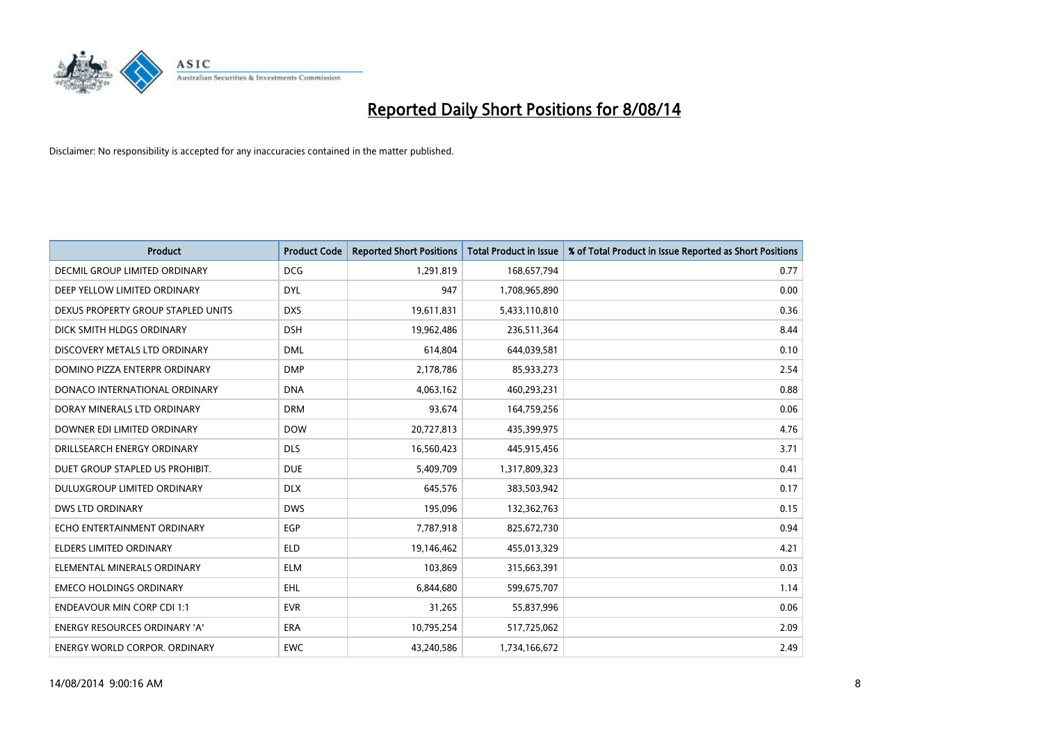

| <b>Product</b>                       | <b>Product Code</b> | <b>Reported Short Positions</b> | <b>Total Product in Issue</b> | % of Total Product in Issue Reported as Short Positions |
|--------------------------------------|---------------------|---------------------------------|-------------------------------|---------------------------------------------------------|
| DECMIL GROUP LIMITED ORDINARY        | <b>DCG</b>          | 1,291,819                       | 168,657,794                   | 0.77                                                    |
| DEEP YELLOW LIMITED ORDINARY         | <b>DYL</b>          | 947                             | 1,708,965,890                 | 0.00                                                    |
| DEXUS PROPERTY GROUP STAPLED UNITS   | <b>DXS</b>          | 19,611,831                      | 5,433,110,810                 | 0.36                                                    |
| DICK SMITH HLDGS ORDINARY            | <b>DSH</b>          | 19,962,486                      | 236,511,364                   | 8.44                                                    |
| DISCOVERY METALS LTD ORDINARY        | <b>DML</b>          | 614,804                         | 644,039,581                   | 0.10                                                    |
| DOMINO PIZZA ENTERPR ORDINARY        | <b>DMP</b>          | 2,178,786                       | 85,933,273                    | 2.54                                                    |
| DONACO INTERNATIONAL ORDINARY        | <b>DNA</b>          | 4,063,162                       | 460,293,231                   | 0.88                                                    |
| DORAY MINERALS LTD ORDINARY          | <b>DRM</b>          | 93,674                          | 164,759,256                   | 0.06                                                    |
| DOWNER EDI LIMITED ORDINARY          | <b>DOW</b>          | 20,727,813                      | 435,399,975                   | 4.76                                                    |
| DRILLSEARCH ENERGY ORDINARY          | <b>DLS</b>          | 16,560,423                      | 445,915,456                   | 3.71                                                    |
| DUET GROUP STAPLED US PROHIBIT.      | <b>DUE</b>          | 5,409,709                       | 1,317,809,323                 | 0.41                                                    |
| <b>DULUXGROUP LIMITED ORDINARY</b>   | <b>DLX</b>          | 645,576                         | 383,503,942                   | 0.17                                                    |
| <b>DWS LTD ORDINARY</b>              | <b>DWS</b>          | 195,096                         | 132,362,763                   | 0.15                                                    |
| ECHO ENTERTAINMENT ORDINARY          | <b>EGP</b>          | 7,787,918                       | 825,672,730                   | 0.94                                                    |
| <b>ELDERS LIMITED ORDINARY</b>       | <b>ELD</b>          | 19,146,462                      | 455,013,329                   | 4.21                                                    |
| ELEMENTAL MINERALS ORDINARY          | <b>ELM</b>          | 103,869                         | 315,663,391                   | 0.03                                                    |
| <b>EMECO HOLDINGS ORDINARY</b>       | <b>EHL</b>          | 6,844,680                       | 599,675,707                   | 1.14                                                    |
| <b>ENDEAVOUR MIN CORP CDI 1:1</b>    | <b>EVR</b>          | 31,265                          | 55,837,996                    | 0.06                                                    |
| <b>ENERGY RESOURCES ORDINARY 'A'</b> | <b>ERA</b>          | 10,795,254                      | 517,725,062                   | 2.09                                                    |
| <b>ENERGY WORLD CORPOR. ORDINARY</b> | <b>EWC</b>          | 43,240,586                      | 1,734,166,672                 | 2.49                                                    |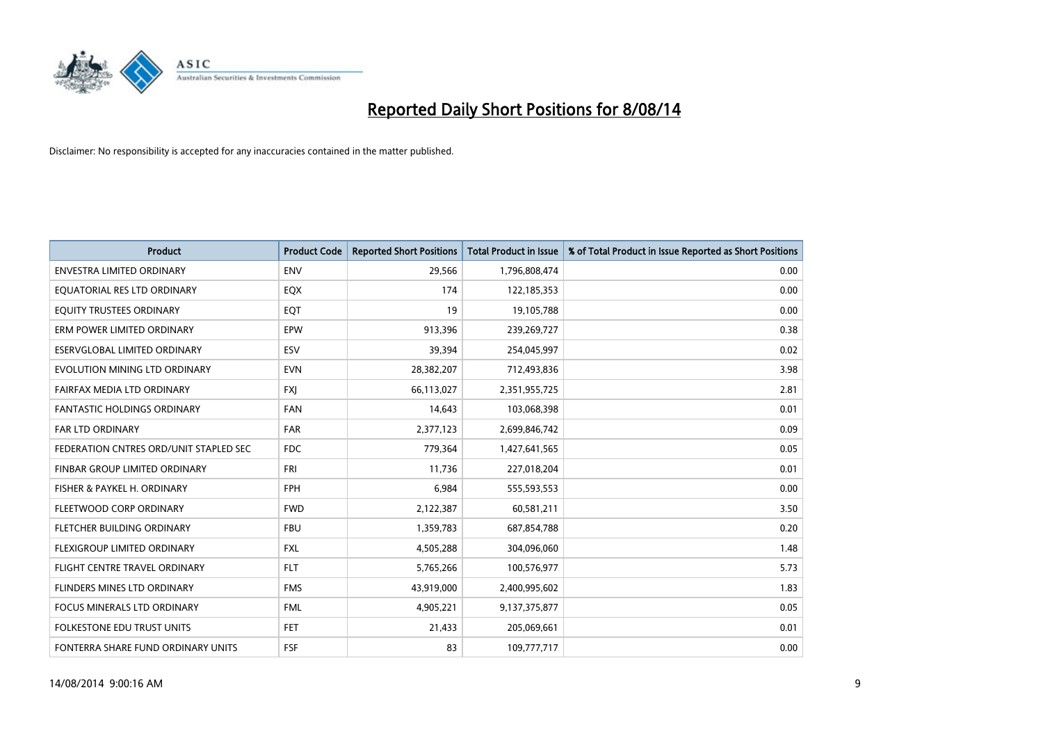

| <b>Product</b>                         | <b>Product Code</b> | <b>Reported Short Positions</b> | <b>Total Product in Issue</b> | % of Total Product in Issue Reported as Short Positions |
|----------------------------------------|---------------------|---------------------------------|-------------------------------|---------------------------------------------------------|
| <b>ENVESTRA LIMITED ORDINARY</b>       | <b>ENV</b>          | 29,566                          | 1,796,808,474                 | 0.00                                                    |
| EQUATORIAL RES LTD ORDINARY            | EQX                 | 174                             | 122,185,353                   | 0.00                                                    |
| EQUITY TRUSTEES ORDINARY               | EQT                 | 19                              | 19,105,788                    | 0.00                                                    |
| ERM POWER LIMITED ORDINARY             | EPW                 | 913,396                         | 239,269,727                   | 0.38                                                    |
| ESERVGLOBAL LIMITED ORDINARY           | ESV                 | 39,394                          | 254,045,997                   | 0.02                                                    |
| EVOLUTION MINING LTD ORDINARY          | <b>EVN</b>          | 28,382,207                      | 712,493,836                   | 3.98                                                    |
| FAIRFAX MEDIA LTD ORDINARY             | <b>FXI</b>          | 66,113,027                      | 2,351,955,725                 | 2.81                                                    |
| FANTASTIC HOLDINGS ORDINARY            | <b>FAN</b>          | 14,643                          | 103,068,398                   | 0.01                                                    |
| <b>FAR LTD ORDINARY</b>                | <b>FAR</b>          | 2,377,123                       | 2,699,846,742                 | 0.09                                                    |
| FEDERATION CNTRES ORD/UNIT STAPLED SEC | FDC                 | 779,364                         | 1,427,641,565                 | 0.05                                                    |
| FINBAR GROUP LIMITED ORDINARY          | FRI                 | 11,736                          | 227,018,204                   | 0.01                                                    |
| FISHER & PAYKEL H. ORDINARY            | <b>FPH</b>          | 6,984                           | 555,593,553                   | 0.00                                                    |
| FLEETWOOD CORP ORDINARY                | <b>FWD</b>          | 2,122,387                       | 60,581,211                    | 3.50                                                    |
| FLETCHER BUILDING ORDINARY             | <b>FBU</b>          | 1,359,783                       | 687,854,788                   | 0.20                                                    |
| FLEXIGROUP LIMITED ORDINARY            | <b>FXL</b>          | 4,505,288                       | 304,096,060                   | 1.48                                                    |
| FLIGHT CENTRE TRAVEL ORDINARY          | <b>FLT</b>          | 5,765,266                       | 100,576,977                   | 5.73                                                    |
| FLINDERS MINES LTD ORDINARY            | <b>FMS</b>          | 43,919,000                      | 2,400,995,602                 | 1.83                                                    |
| FOCUS MINERALS LTD ORDINARY            | <b>FML</b>          | 4,905,221                       | 9,137,375,877                 | 0.05                                                    |
| <b>FOLKESTONE EDU TRUST UNITS</b>      | <b>FET</b>          | 21,433                          | 205,069,661                   | 0.01                                                    |
| FONTERRA SHARE FUND ORDINARY UNITS     | <b>FSF</b>          | 83                              | 109,777,717                   | 0.00                                                    |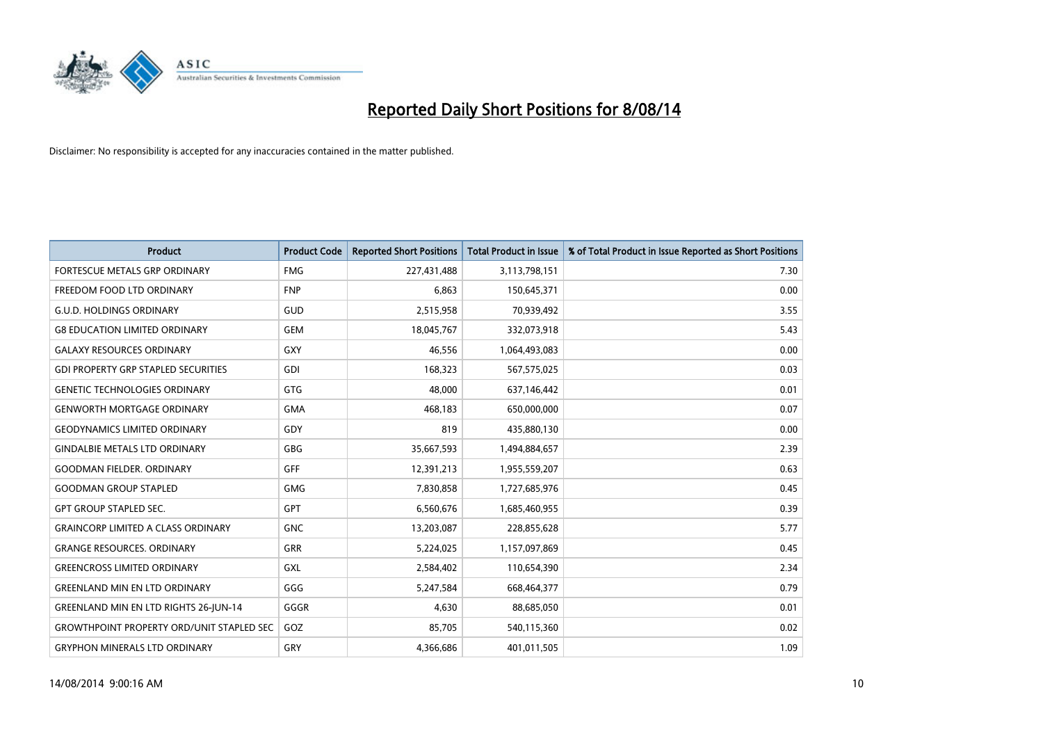

| <b>Product</b>                                   | <b>Product Code</b> | <b>Reported Short Positions</b> | <b>Total Product in Issue</b> | % of Total Product in Issue Reported as Short Positions |
|--------------------------------------------------|---------------------|---------------------------------|-------------------------------|---------------------------------------------------------|
| FORTESCUE METALS GRP ORDINARY                    | <b>FMG</b>          | 227,431,488                     | 3,113,798,151                 | 7.30                                                    |
| FREEDOM FOOD LTD ORDINARY                        | <b>FNP</b>          | 6,863                           | 150,645,371                   | 0.00                                                    |
| <b>G.U.D. HOLDINGS ORDINARY</b>                  | GUD                 | 2,515,958                       | 70,939,492                    | 3.55                                                    |
| <b>G8 EDUCATION LIMITED ORDINARY</b>             | <b>GEM</b>          | 18,045,767                      | 332,073,918                   | 5.43                                                    |
| <b>GALAXY RESOURCES ORDINARY</b>                 | <b>GXY</b>          | 46,556                          | 1,064,493,083                 | 0.00                                                    |
| <b>GDI PROPERTY GRP STAPLED SECURITIES</b>       | GDI                 | 168,323                         | 567,575,025                   | 0.03                                                    |
| <b>GENETIC TECHNOLOGIES ORDINARY</b>             | <b>GTG</b>          | 48,000                          | 637,146,442                   | 0.01                                                    |
| <b>GENWORTH MORTGAGE ORDINARY</b>                | <b>GMA</b>          | 468,183                         | 650,000,000                   | 0.07                                                    |
| <b>GEODYNAMICS LIMITED ORDINARY</b>              | GDY                 | 819                             | 435,880,130                   | 0.00                                                    |
| <b>GINDALBIE METALS LTD ORDINARY</b>             | GBG                 | 35,667,593                      | 1,494,884,657                 | 2.39                                                    |
| <b>GOODMAN FIELDER, ORDINARY</b>                 | GFF                 | 12,391,213                      | 1,955,559,207                 | 0.63                                                    |
| <b>GOODMAN GROUP STAPLED</b>                     | <b>GMG</b>          | 7,830,858                       | 1,727,685,976                 | 0.45                                                    |
| GPT GROUP STAPLED SEC.                           | <b>GPT</b>          | 6,560,676                       | 1,685,460,955                 | 0.39                                                    |
| <b>GRAINCORP LIMITED A CLASS ORDINARY</b>        | <b>GNC</b>          | 13,203,087                      | 228,855,628                   | 5.77                                                    |
| <b>GRANGE RESOURCES. ORDINARY</b>                | <b>GRR</b>          | 5,224,025                       | 1,157,097,869                 | 0.45                                                    |
| <b>GREENCROSS LIMITED ORDINARY</b>               | GXL                 | 2,584,402                       | 110,654,390                   | 2.34                                                    |
| <b>GREENLAND MIN EN LTD ORDINARY</b>             | GGG                 | 5,247,584                       | 668,464,377                   | 0.79                                                    |
| <b>GREENLAND MIN EN LTD RIGHTS 26-JUN-14</b>     | GGGR                | 4,630                           | 88,685,050                    | 0.01                                                    |
| <b>GROWTHPOINT PROPERTY ORD/UNIT STAPLED SEC</b> | GOZ                 | 85,705                          | 540,115,360                   | 0.02                                                    |
| <b>GRYPHON MINERALS LTD ORDINARY</b>             | GRY                 | 4,366,686                       | 401,011,505                   | 1.09                                                    |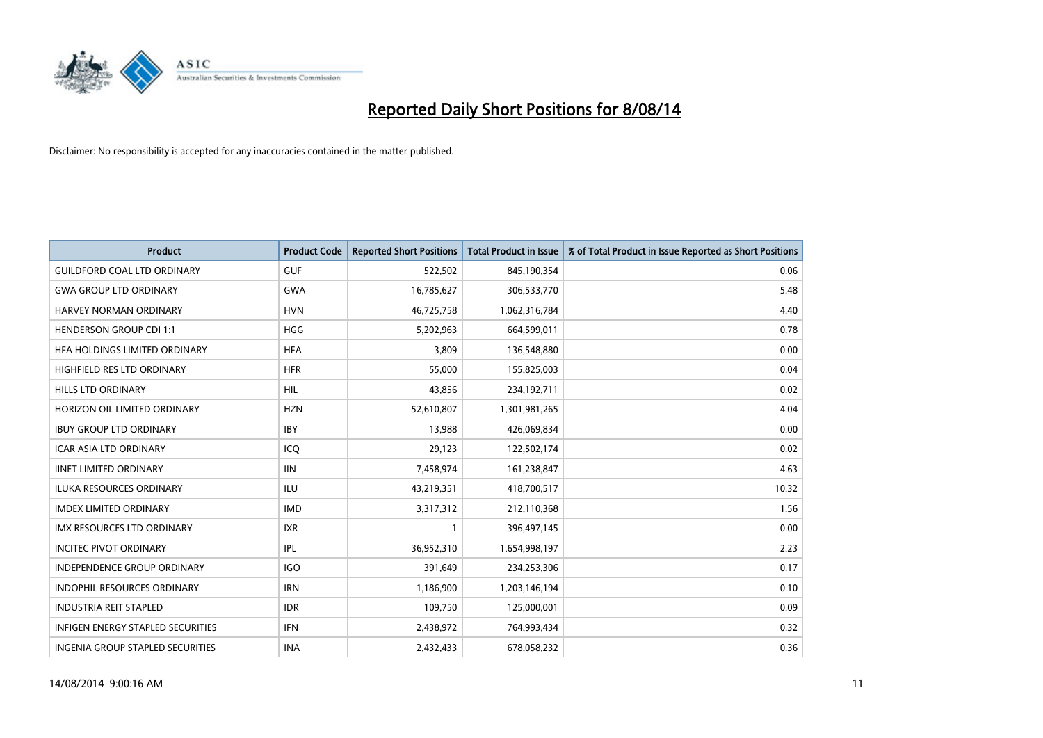

| <b>Product</b>                           | <b>Product Code</b> | <b>Reported Short Positions</b> | <b>Total Product in Issue</b> | % of Total Product in Issue Reported as Short Positions |
|------------------------------------------|---------------------|---------------------------------|-------------------------------|---------------------------------------------------------|
| <b>GUILDFORD COAL LTD ORDINARY</b>       | <b>GUF</b>          | 522,502                         | 845,190,354                   | 0.06                                                    |
| <b>GWA GROUP LTD ORDINARY</b>            | GWA                 | 16,785,627                      | 306,533,770                   | 5.48                                                    |
| HARVEY NORMAN ORDINARY                   | <b>HVN</b>          | 46,725,758                      | 1,062,316,784                 | 4.40                                                    |
| <b>HENDERSON GROUP CDI 1:1</b>           | <b>HGG</b>          | 5,202,963                       | 664,599,011                   | 0.78                                                    |
| HFA HOLDINGS LIMITED ORDINARY            | <b>HFA</b>          | 3,809                           | 136,548,880                   | 0.00                                                    |
| HIGHFIELD RES LTD ORDINARY               | <b>HFR</b>          | 55,000                          | 155,825,003                   | 0.04                                                    |
| HILLS LTD ORDINARY                       | HIL                 | 43,856                          | 234,192,711                   | 0.02                                                    |
| HORIZON OIL LIMITED ORDINARY             | <b>HZN</b>          | 52,610,807                      | 1,301,981,265                 | 4.04                                                    |
| <b>IBUY GROUP LTD ORDINARY</b>           | <b>IBY</b>          | 13,988                          | 426,069,834                   | 0.00                                                    |
| <b>ICAR ASIA LTD ORDINARY</b>            | ICQ                 | 29,123                          | 122,502,174                   | 0.02                                                    |
| <b>IINET LIMITED ORDINARY</b>            | <b>IIN</b>          | 7,458,974                       | 161,238,847                   | 4.63                                                    |
| <b>ILUKA RESOURCES ORDINARY</b>          | ILU                 | 43,219,351                      | 418,700,517                   | 10.32                                                   |
| <b>IMDEX LIMITED ORDINARY</b>            | <b>IMD</b>          | 3,317,312                       | 212,110,368                   | 1.56                                                    |
| <b>IMX RESOURCES LTD ORDINARY</b>        | <b>IXR</b>          | $\mathbf{1}$                    | 396,497,145                   | 0.00                                                    |
| <b>INCITEC PIVOT ORDINARY</b>            | IPL                 | 36,952,310                      | 1,654,998,197                 | 2.23                                                    |
| INDEPENDENCE GROUP ORDINARY              | <b>IGO</b>          | 391,649                         | 234,253,306                   | 0.17                                                    |
| INDOPHIL RESOURCES ORDINARY              | <b>IRN</b>          | 1,186,900                       | 1,203,146,194                 | 0.10                                                    |
| <b>INDUSTRIA REIT STAPLED</b>            | <b>IDR</b>          | 109,750                         | 125,000,001                   | 0.09                                                    |
| <b>INFIGEN ENERGY STAPLED SECURITIES</b> | <b>IFN</b>          | 2,438,972                       | 764,993,434                   | 0.32                                                    |
| INGENIA GROUP STAPLED SECURITIES         | <b>INA</b>          | 2,432,433                       | 678,058,232                   | 0.36                                                    |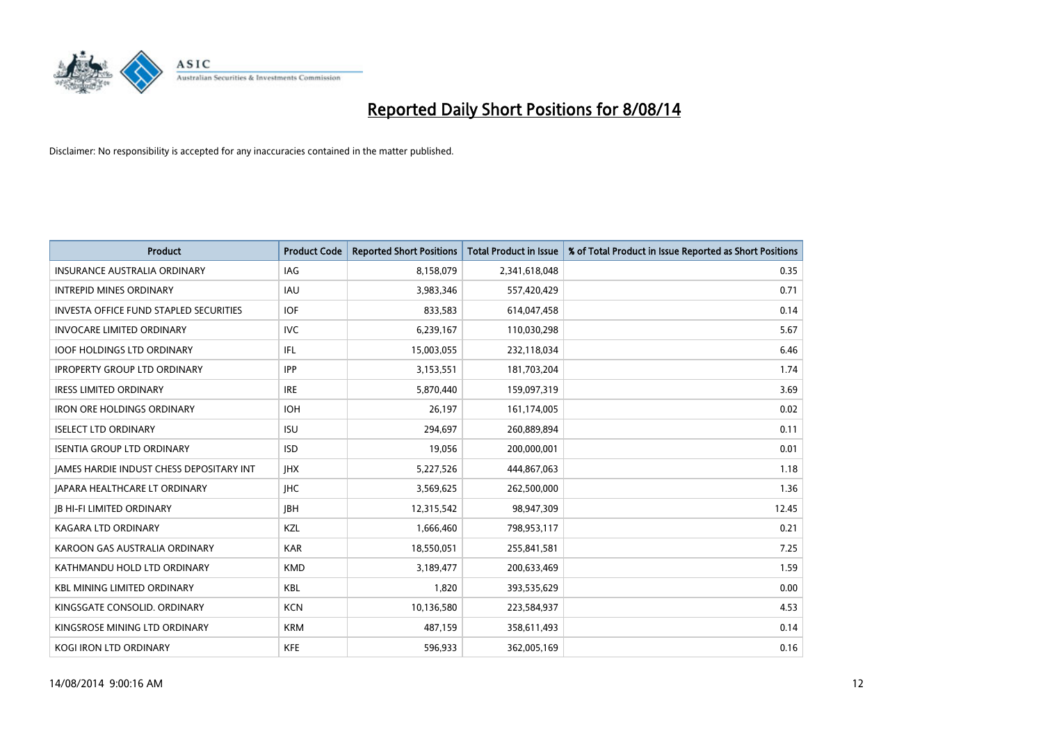

| <b>Product</b>                                  | <b>Product Code</b> | <b>Reported Short Positions</b> | <b>Total Product in Issue</b> | % of Total Product in Issue Reported as Short Positions |
|-------------------------------------------------|---------------------|---------------------------------|-------------------------------|---------------------------------------------------------|
| <b>INSURANCE AUSTRALIA ORDINARY</b>             | <b>IAG</b>          | 8,158,079                       | 2,341,618,048                 | 0.35                                                    |
| <b>INTREPID MINES ORDINARY</b>                  | <b>IAU</b>          | 3,983,346                       | 557,420,429                   | 0.71                                                    |
| <b>INVESTA OFFICE FUND STAPLED SECURITIES</b>   | <b>IOF</b>          | 833,583                         | 614,047,458                   | 0.14                                                    |
| <b>INVOCARE LIMITED ORDINARY</b>                | <b>IVC</b>          | 6,239,167                       | 110,030,298                   | 5.67                                                    |
| <b>IOOF HOLDINGS LTD ORDINARY</b>               | IFL                 | 15,003,055                      | 232,118,034                   | 6.46                                                    |
| <b>IPROPERTY GROUP LTD ORDINARY</b>             | <b>IPP</b>          | 3,153,551                       | 181,703,204                   | 1.74                                                    |
| <b>IRESS LIMITED ORDINARY</b>                   | <b>IRE</b>          | 5,870,440                       | 159,097,319                   | 3.69                                                    |
| <b>IRON ORE HOLDINGS ORDINARY</b>               | <b>IOH</b>          | 26,197                          | 161,174,005                   | 0.02                                                    |
| <b>ISELECT LTD ORDINARY</b>                     | <b>ISU</b>          | 294,697                         | 260,889,894                   | 0.11                                                    |
| <b>ISENTIA GROUP LTD ORDINARY</b>               | <b>ISD</b>          | 19,056                          | 200,000,001                   | 0.01                                                    |
| <b>JAMES HARDIE INDUST CHESS DEPOSITARY INT</b> | <b>IHX</b>          | 5,227,526                       | 444,867,063                   | 1.18                                                    |
| JAPARA HEALTHCARE LT ORDINARY                   | <b>IHC</b>          | 3,569,625                       | 262,500,000                   | 1.36                                                    |
| <b>IB HI-FI LIMITED ORDINARY</b>                | <b>IBH</b>          | 12,315,542                      | 98,947,309                    | 12.45                                                   |
| <b>KAGARA LTD ORDINARY</b>                      | KZL                 | 1,666,460                       | 798,953,117                   | 0.21                                                    |
| KAROON GAS AUSTRALIA ORDINARY                   | <b>KAR</b>          | 18,550,051                      | 255,841,581                   | 7.25                                                    |
| KATHMANDU HOLD LTD ORDINARY                     | <b>KMD</b>          | 3,189,477                       | 200,633,469                   | 1.59                                                    |
| <b>KBL MINING LIMITED ORDINARY</b>              | KBL                 | 1,820                           | 393,535,629                   | 0.00                                                    |
| KINGSGATE CONSOLID. ORDINARY                    | <b>KCN</b>          | 10,136,580                      | 223,584,937                   | 4.53                                                    |
| KINGSROSE MINING LTD ORDINARY                   | <b>KRM</b>          | 487,159                         | 358,611,493                   | 0.14                                                    |
| <b>KOGI IRON LTD ORDINARY</b>                   | <b>KFE</b>          | 596,933                         | 362,005,169                   | 0.16                                                    |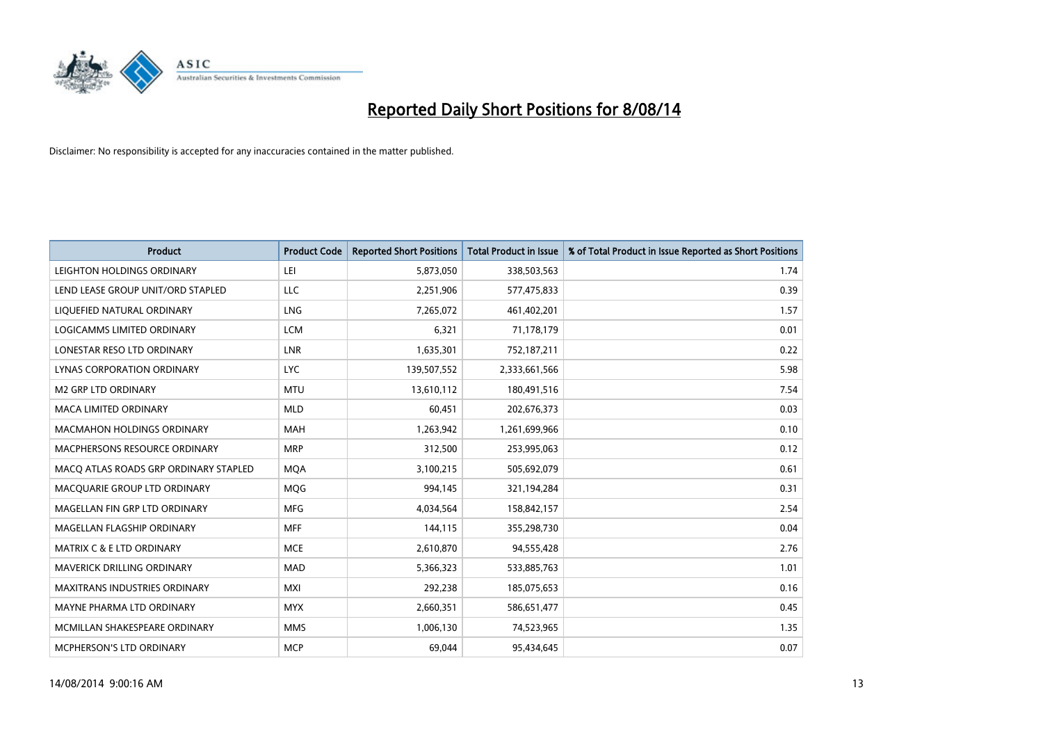

| <b>Product</b>                        | <b>Product Code</b> | <b>Reported Short Positions</b> | <b>Total Product in Issue</b> | % of Total Product in Issue Reported as Short Positions |
|---------------------------------------|---------------------|---------------------------------|-------------------------------|---------------------------------------------------------|
| LEIGHTON HOLDINGS ORDINARY            | LEI                 | 5,873,050                       | 338,503,563                   | 1.74                                                    |
| LEND LEASE GROUP UNIT/ORD STAPLED     | <b>LLC</b>          | 2,251,906                       | 577,475,833                   | 0.39                                                    |
| LIQUEFIED NATURAL ORDINARY            | <b>LNG</b>          | 7,265,072                       | 461,402,201                   | 1.57                                                    |
| LOGICAMMS LIMITED ORDINARY            | <b>LCM</b>          | 6,321                           | 71,178,179                    | 0.01                                                    |
| LONESTAR RESO LTD ORDINARY            | <b>LNR</b>          | 1,635,301                       | 752,187,211                   | 0.22                                                    |
| LYNAS CORPORATION ORDINARY            | <b>LYC</b>          | 139,507,552                     | 2,333,661,566                 | 5.98                                                    |
| <b>M2 GRP LTD ORDINARY</b>            | <b>MTU</b>          | 13,610,112                      | 180,491,516                   | 7.54                                                    |
| MACA LIMITED ORDINARY                 | <b>MLD</b>          | 60,451                          | 202,676,373                   | 0.03                                                    |
| <b>MACMAHON HOLDINGS ORDINARY</b>     | <b>MAH</b>          | 1,263,942                       | 1,261,699,966                 | 0.10                                                    |
| MACPHERSONS RESOURCE ORDINARY         | <b>MRP</b>          | 312,500                         | 253,995,063                   | 0.12                                                    |
| MACO ATLAS ROADS GRP ORDINARY STAPLED | <b>MOA</b>          | 3,100,215                       | 505,692,079                   | 0.61                                                    |
| MACQUARIE GROUP LTD ORDINARY          | MQG                 | 994,145                         | 321,194,284                   | 0.31                                                    |
| MAGELLAN FIN GRP LTD ORDINARY         | <b>MFG</b>          | 4,034,564                       | 158,842,157                   | 2.54                                                    |
| MAGELLAN FLAGSHIP ORDINARY            | <b>MFF</b>          | 144,115                         | 355,298,730                   | 0.04                                                    |
| <b>MATRIX C &amp; E LTD ORDINARY</b>  | <b>MCE</b>          | 2,610,870                       | 94,555,428                    | 2.76                                                    |
| MAVERICK DRILLING ORDINARY            | <b>MAD</b>          | 5,366,323                       | 533,885,763                   | 1.01                                                    |
| MAXITRANS INDUSTRIES ORDINARY         | <b>MXI</b>          | 292,238                         | 185,075,653                   | 0.16                                                    |
| MAYNE PHARMA LTD ORDINARY             | <b>MYX</b>          | 2,660,351                       | 586,651,477                   | 0.45                                                    |
| MCMILLAN SHAKESPEARE ORDINARY         | <b>MMS</b>          | 1,006,130                       | 74,523,965                    | 1.35                                                    |
| MCPHERSON'S LTD ORDINARY              | <b>MCP</b>          | 69,044                          | 95,434,645                    | 0.07                                                    |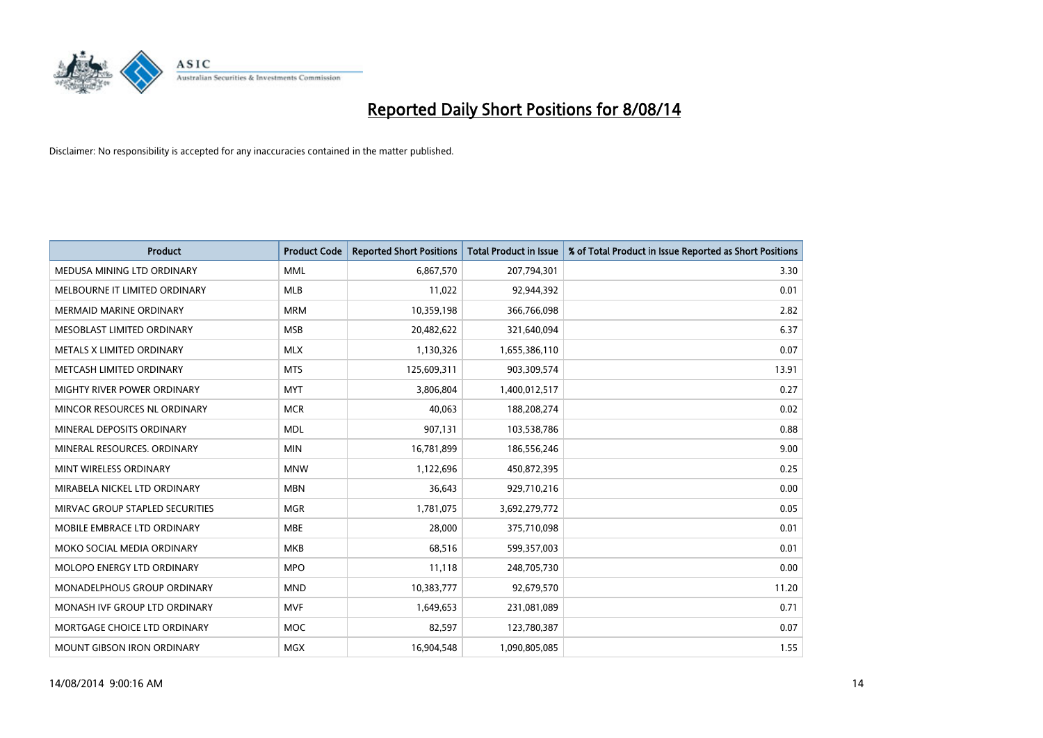

| <b>Product</b>                     | <b>Product Code</b> | <b>Reported Short Positions</b> | <b>Total Product in Issue</b> | % of Total Product in Issue Reported as Short Positions |
|------------------------------------|---------------------|---------------------------------|-------------------------------|---------------------------------------------------------|
| MEDUSA MINING LTD ORDINARY         | <b>MML</b>          | 6,867,570                       | 207,794,301                   | 3.30                                                    |
| MELBOURNE IT LIMITED ORDINARY      | <b>MLB</b>          | 11,022                          | 92,944,392                    | 0.01                                                    |
| <b>MERMAID MARINE ORDINARY</b>     | <b>MRM</b>          | 10,359,198                      | 366,766,098                   | 2.82                                                    |
| MESOBLAST LIMITED ORDINARY         | <b>MSB</b>          | 20,482,622                      | 321,640,094                   | 6.37                                                    |
| METALS X LIMITED ORDINARY          | <b>MLX</b>          | 1,130,326                       | 1,655,386,110                 | 0.07                                                    |
| METCASH LIMITED ORDINARY           | <b>MTS</b>          | 125,609,311                     | 903,309,574                   | 13.91                                                   |
| <b>MIGHTY RIVER POWER ORDINARY</b> | <b>MYT</b>          | 3,806,804                       | 1,400,012,517                 | 0.27                                                    |
| MINCOR RESOURCES NL ORDINARY       | <b>MCR</b>          | 40,063                          | 188,208,274                   | 0.02                                                    |
| MINERAL DEPOSITS ORDINARY          | <b>MDL</b>          | 907,131                         | 103,538,786                   | 0.88                                                    |
| MINERAL RESOURCES, ORDINARY        | <b>MIN</b>          | 16,781,899                      | 186,556,246                   | 9.00                                                    |
| MINT WIRELESS ORDINARY             | <b>MNW</b>          | 1,122,696                       | 450,872,395                   | 0.25                                                    |
| MIRABELA NICKEL LTD ORDINARY       | <b>MBN</b>          | 36,643                          | 929,710,216                   | 0.00                                                    |
| MIRVAC GROUP STAPLED SECURITIES    | <b>MGR</b>          | 1,781,075                       | 3,692,279,772                 | 0.05                                                    |
| MOBILE EMBRACE LTD ORDINARY        | <b>MBE</b>          | 28,000                          | 375,710,098                   | 0.01                                                    |
| MOKO SOCIAL MEDIA ORDINARY         | <b>MKB</b>          | 68,516                          | 599,357,003                   | 0.01                                                    |
| MOLOPO ENERGY LTD ORDINARY         | <b>MPO</b>          | 11,118                          | 248,705,730                   | 0.00                                                    |
| MONADELPHOUS GROUP ORDINARY        | <b>MND</b>          | 10,383,777                      | 92,679,570                    | 11.20                                                   |
| MONASH IVE GROUP LTD ORDINARY      | <b>MVF</b>          | 1,649,653                       | 231,081,089                   | 0.71                                                    |
| MORTGAGE CHOICE LTD ORDINARY       | <b>MOC</b>          | 82,597                          | 123,780,387                   | 0.07                                                    |
| <b>MOUNT GIBSON IRON ORDINARY</b>  | <b>MGX</b>          | 16,904,548                      | 1,090,805,085                 | 1.55                                                    |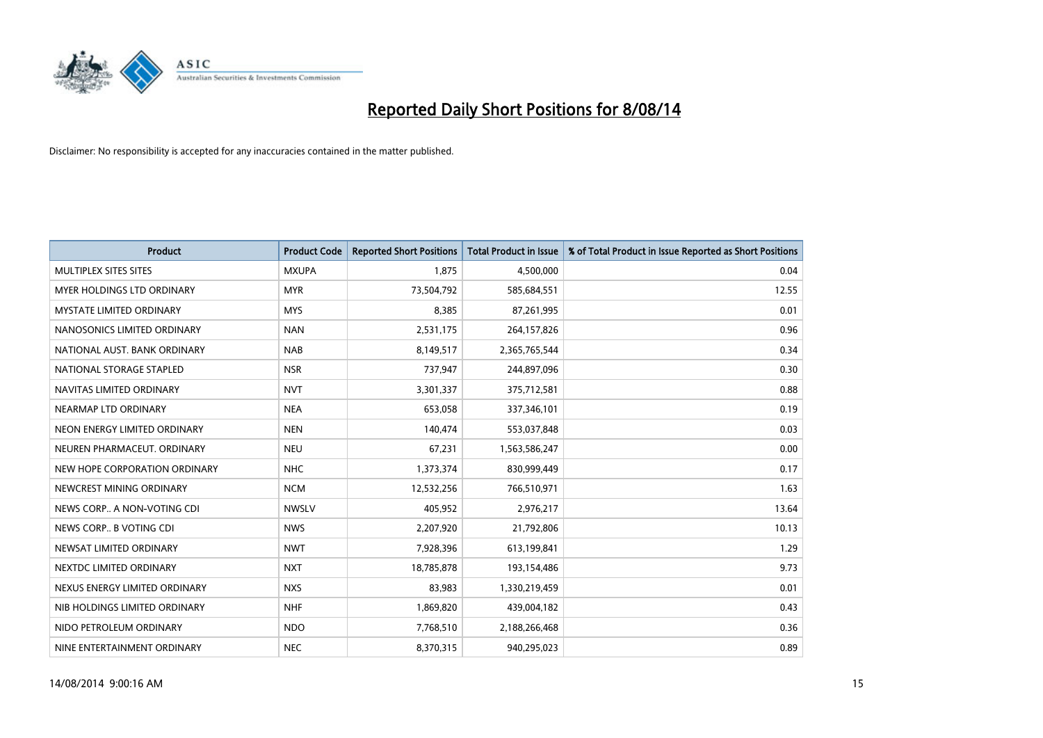

| <b>Product</b>                  | <b>Product Code</b> | <b>Reported Short Positions</b> | <b>Total Product in Issue</b> | % of Total Product in Issue Reported as Short Positions |
|---------------------------------|---------------------|---------------------------------|-------------------------------|---------------------------------------------------------|
| MULTIPLEX SITES SITES           | <b>MXUPA</b>        | 1,875                           | 4,500,000                     | 0.04                                                    |
| MYER HOLDINGS LTD ORDINARY      | <b>MYR</b>          | 73,504,792                      | 585,684,551                   | 12.55                                                   |
| <b>MYSTATE LIMITED ORDINARY</b> | <b>MYS</b>          | 8,385                           | 87,261,995                    | 0.01                                                    |
| NANOSONICS LIMITED ORDINARY     | <b>NAN</b>          | 2,531,175                       | 264,157,826                   | 0.96                                                    |
| NATIONAL AUST. BANK ORDINARY    | <b>NAB</b>          | 8,149,517                       | 2,365,765,544                 | 0.34                                                    |
| NATIONAL STORAGE STAPLED        | <b>NSR</b>          | 737,947                         | 244,897,096                   | 0.30                                                    |
| NAVITAS LIMITED ORDINARY        | <b>NVT</b>          | 3,301,337                       | 375,712,581                   | 0.88                                                    |
| NEARMAP LTD ORDINARY            | <b>NEA</b>          | 653,058                         | 337,346,101                   | 0.19                                                    |
| NEON ENERGY LIMITED ORDINARY    | <b>NEN</b>          | 140,474                         | 553,037,848                   | 0.03                                                    |
| NEUREN PHARMACEUT, ORDINARY     | <b>NEU</b>          | 67,231                          | 1,563,586,247                 | 0.00                                                    |
| NEW HOPE CORPORATION ORDINARY   | <b>NHC</b>          | 1,373,374                       | 830,999,449                   | 0.17                                                    |
| NEWCREST MINING ORDINARY        | <b>NCM</b>          | 12,532,256                      | 766,510,971                   | 1.63                                                    |
| NEWS CORP A NON-VOTING CDI      | <b>NWSLV</b>        | 405,952                         | 2,976,217                     | 13.64                                                   |
| NEWS CORP B VOTING CDI          | <b>NWS</b>          | 2,207,920                       | 21,792,806                    | 10.13                                                   |
| NEWSAT LIMITED ORDINARY         | <b>NWT</b>          | 7,928,396                       | 613,199,841                   | 1.29                                                    |
| NEXTDC LIMITED ORDINARY         | <b>NXT</b>          | 18,785,878                      | 193,154,486                   | 9.73                                                    |
| NEXUS ENERGY LIMITED ORDINARY   | <b>NXS</b>          | 83,983                          | 1,330,219,459                 | 0.01                                                    |
| NIB HOLDINGS LIMITED ORDINARY   | <b>NHF</b>          | 1,869,820                       | 439,004,182                   | 0.43                                                    |
| NIDO PETROLEUM ORDINARY         | <b>NDO</b>          | 7,768,510                       | 2,188,266,468                 | 0.36                                                    |
| NINE ENTERTAINMENT ORDINARY     | <b>NEC</b>          | 8,370,315                       | 940,295,023                   | 0.89                                                    |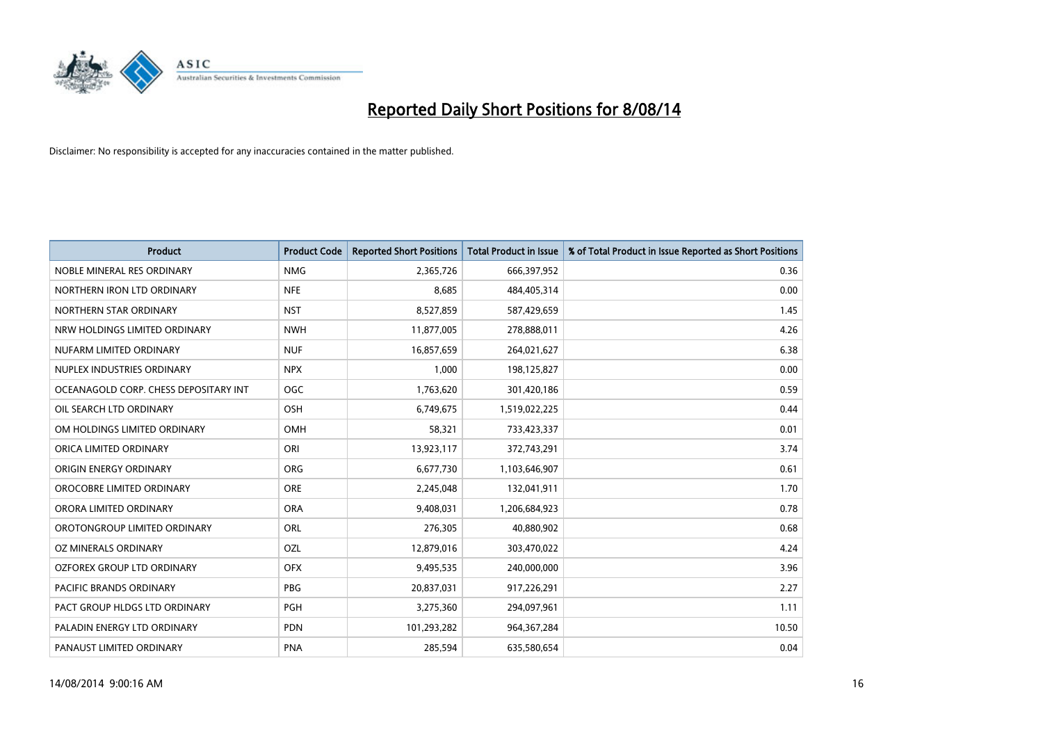

| <b>Product</b>                        | <b>Product Code</b> | <b>Reported Short Positions</b> | <b>Total Product in Issue</b> | % of Total Product in Issue Reported as Short Positions |
|---------------------------------------|---------------------|---------------------------------|-------------------------------|---------------------------------------------------------|
| NOBLE MINERAL RES ORDINARY            | <b>NMG</b>          | 2,365,726                       | 666,397,952                   | 0.36                                                    |
| NORTHERN IRON LTD ORDINARY            | <b>NFE</b>          | 8,685                           | 484,405,314                   | 0.00                                                    |
| NORTHERN STAR ORDINARY                | <b>NST</b>          | 8,527,859                       | 587,429,659                   | 1.45                                                    |
| NRW HOLDINGS LIMITED ORDINARY         | <b>NWH</b>          | 11,877,005                      | 278,888,011                   | 4.26                                                    |
| NUFARM LIMITED ORDINARY               | <b>NUF</b>          | 16,857,659                      | 264,021,627                   | 6.38                                                    |
| NUPLEX INDUSTRIES ORDINARY            | <b>NPX</b>          | 1,000                           | 198,125,827                   | 0.00                                                    |
| OCEANAGOLD CORP. CHESS DEPOSITARY INT | <b>OGC</b>          | 1,763,620                       | 301,420,186                   | 0.59                                                    |
| OIL SEARCH LTD ORDINARY               | OSH                 | 6,749,675                       | 1,519,022,225                 | 0.44                                                    |
| OM HOLDINGS LIMITED ORDINARY          | OMH                 | 58,321                          | 733,423,337                   | 0.01                                                    |
| ORICA LIMITED ORDINARY                | ORI                 | 13,923,117                      | 372,743,291                   | 3.74                                                    |
| ORIGIN ENERGY ORDINARY                | ORG                 | 6,677,730                       | 1,103,646,907                 | 0.61                                                    |
| OROCOBRE LIMITED ORDINARY             | <b>ORE</b>          | 2,245,048                       | 132,041,911                   | 1.70                                                    |
| ORORA LIMITED ORDINARY                | <b>ORA</b>          | 9,408,031                       | 1,206,684,923                 | 0.78                                                    |
| OROTONGROUP LIMITED ORDINARY          | ORL                 | 276,305                         | 40,880,902                    | 0.68                                                    |
| OZ MINERALS ORDINARY                  | OZL                 | 12,879,016                      | 303,470,022                   | 4.24                                                    |
| <b>OZFOREX GROUP LTD ORDINARY</b>     | <b>OFX</b>          | 9,495,535                       | 240,000,000                   | 3.96                                                    |
| PACIFIC BRANDS ORDINARY               | PBG                 | 20,837,031                      | 917,226,291                   | 2.27                                                    |
| PACT GROUP HLDGS LTD ORDINARY         | <b>PGH</b>          | 3,275,360                       | 294,097,961                   | 1.11                                                    |
| PALADIN ENERGY LTD ORDINARY           | <b>PDN</b>          | 101,293,282                     | 964,367,284                   | 10.50                                                   |
| PANAUST LIMITED ORDINARY              | <b>PNA</b>          | 285,594                         | 635,580,654                   | 0.04                                                    |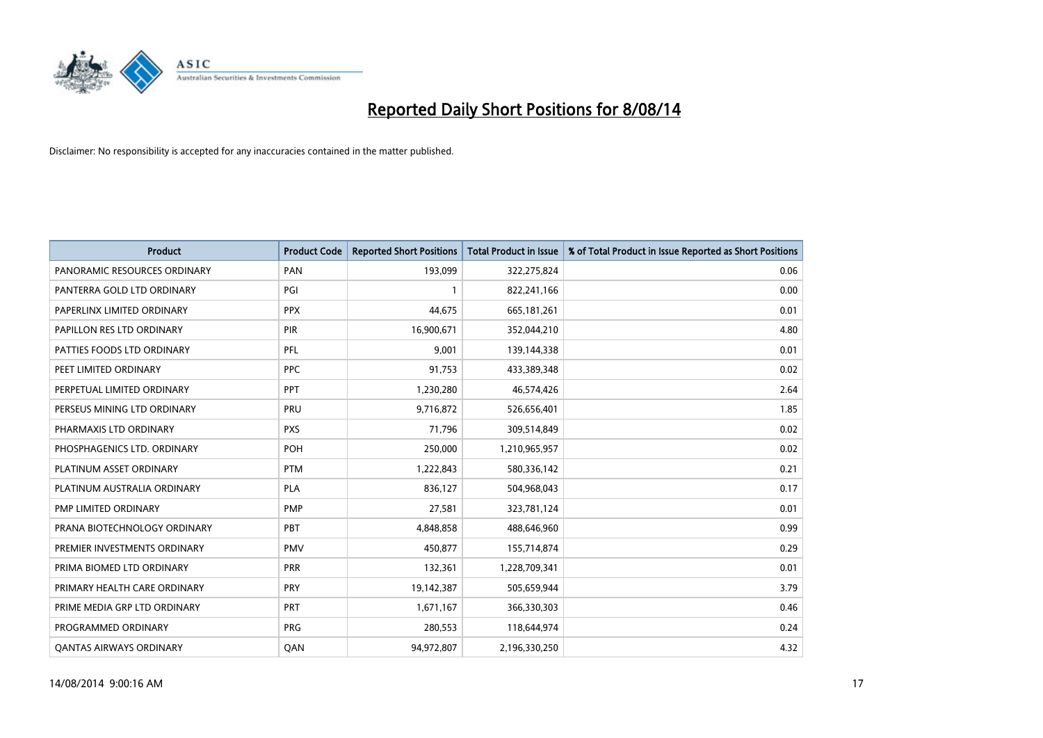

| <b>Product</b>                 | <b>Product Code</b> | <b>Reported Short Positions</b> | <b>Total Product in Issue</b> | % of Total Product in Issue Reported as Short Positions |
|--------------------------------|---------------------|---------------------------------|-------------------------------|---------------------------------------------------------|
| PANORAMIC RESOURCES ORDINARY   | PAN                 | 193,099                         | 322,275,824                   | 0.06                                                    |
| PANTERRA GOLD LTD ORDINARY     | PGI                 | $\mathbf{1}$                    | 822,241,166                   | 0.00                                                    |
| PAPERLINX LIMITED ORDINARY     | <b>PPX</b>          | 44,675                          | 665,181,261                   | 0.01                                                    |
| PAPILLON RES LTD ORDINARY      | <b>PIR</b>          | 16,900,671                      | 352,044,210                   | 4.80                                                    |
| PATTIES FOODS LTD ORDINARY     | PFL                 | 9,001                           | 139,144,338                   | 0.01                                                    |
| PEET LIMITED ORDINARY          | <b>PPC</b>          | 91,753                          | 433,389,348                   | 0.02                                                    |
| PERPETUAL LIMITED ORDINARY     | PPT                 | 1,230,280                       | 46,574,426                    | 2.64                                                    |
| PERSEUS MINING LTD ORDINARY    | PRU                 | 9,716,872                       | 526,656,401                   | 1.85                                                    |
| PHARMAXIS LTD ORDINARY         | <b>PXS</b>          | 71,796                          | 309,514,849                   | 0.02                                                    |
| PHOSPHAGENICS LTD. ORDINARY    | <b>POH</b>          | 250,000                         | 1,210,965,957                 | 0.02                                                    |
| PLATINUM ASSET ORDINARY        | <b>PTM</b>          | 1,222,843                       | 580,336,142                   | 0.21                                                    |
| PLATINUM AUSTRALIA ORDINARY    | <b>PLA</b>          | 836,127                         | 504,968,043                   | 0.17                                                    |
| PMP LIMITED ORDINARY           | <b>PMP</b>          | 27,581                          | 323,781,124                   | 0.01                                                    |
| PRANA BIOTECHNOLOGY ORDINARY   | PBT                 | 4,848,858                       | 488,646,960                   | 0.99                                                    |
| PREMIER INVESTMENTS ORDINARY   | <b>PMV</b>          | 450,877                         | 155,714,874                   | 0.29                                                    |
| PRIMA BIOMED LTD ORDINARY      | <b>PRR</b>          | 132,361                         | 1,228,709,341                 | 0.01                                                    |
| PRIMARY HEALTH CARE ORDINARY   | <b>PRY</b>          | 19,142,387                      | 505,659,944                   | 3.79                                                    |
| PRIME MEDIA GRP LTD ORDINARY   | PRT                 | 1,671,167                       | 366,330,303                   | 0.46                                                    |
| PROGRAMMED ORDINARY            | <b>PRG</b>          | 280,553                         | 118,644,974                   | 0.24                                                    |
| <b>QANTAS AIRWAYS ORDINARY</b> | QAN                 | 94,972,807                      | 2,196,330,250                 | 4.32                                                    |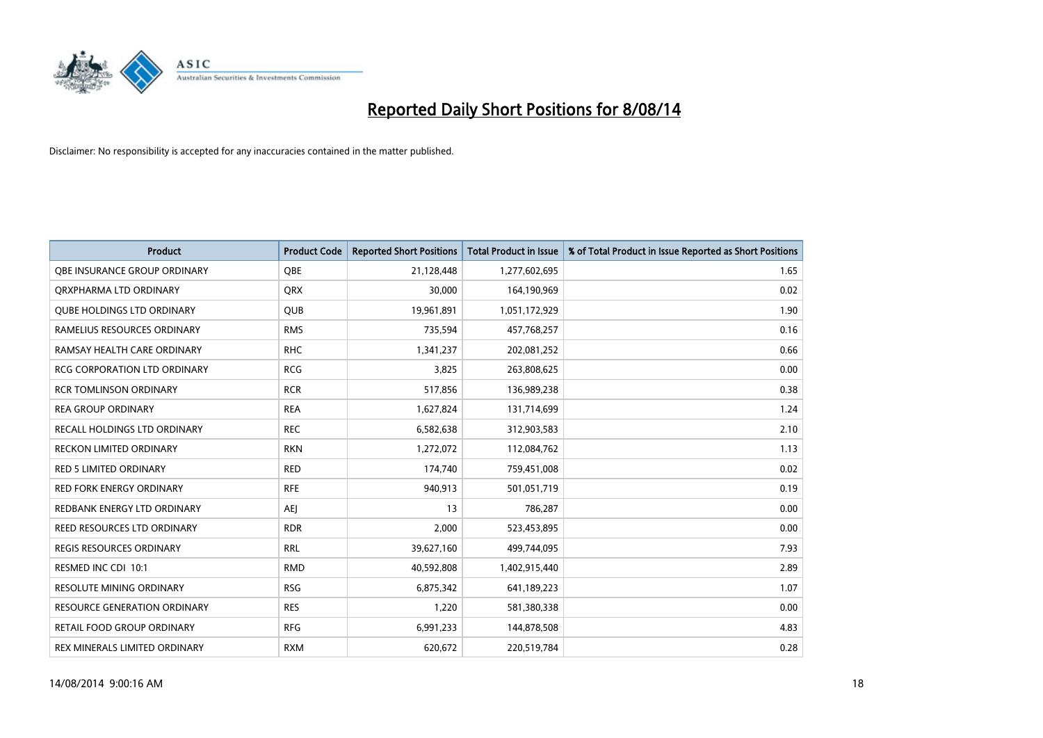

| <b>Product</b>                      | <b>Product Code</b> | <b>Reported Short Positions</b> | <b>Total Product in Issue</b> | % of Total Product in Issue Reported as Short Positions |
|-------------------------------------|---------------------|---------------------------------|-------------------------------|---------------------------------------------------------|
| OBE INSURANCE GROUP ORDINARY        | <b>OBE</b>          | 21,128,448                      | 1,277,602,695                 | 1.65                                                    |
| ORXPHARMA LTD ORDINARY              | <b>QRX</b>          | 30,000                          | 164,190,969                   | 0.02                                                    |
| <b>QUBE HOLDINGS LTD ORDINARY</b>   | <b>QUB</b>          | 19,961,891                      | 1,051,172,929                 | 1.90                                                    |
| RAMELIUS RESOURCES ORDINARY         | <b>RMS</b>          | 735,594                         | 457,768,257                   | 0.16                                                    |
| RAMSAY HEALTH CARE ORDINARY         | <b>RHC</b>          | 1,341,237                       | 202,081,252                   | 0.66                                                    |
| <b>RCG CORPORATION LTD ORDINARY</b> | <b>RCG</b>          | 3,825                           | 263,808,625                   | 0.00                                                    |
| <b>RCR TOMLINSON ORDINARY</b>       | <b>RCR</b>          | 517,856                         | 136,989,238                   | 0.38                                                    |
| <b>REA GROUP ORDINARY</b>           | <b>REA</b>          | 1,627,824                       | 131,714,699                   | 1.24                                                    |
| RECALL HOLDINGS LTD ORDINARY        | <b>REC</b>          | 6,582,638                       | 312,903,583                   | 2.10                                                    |
| <b>RECKON LIMITED ORDINARY</b>      | <b>RKN</b>          | 1,272,072                       | 112,084,762                   | 1.13                                                    |
| RED 5 LIMITED ORDINARY              | <b>RED</b>          | 174,740                         | 759,451,008                   | 0.02                                                    |
| <b>RED FORK ENERGY ORDINARY</b>     | <b>RFE</b>          | 940,913                         | 501,051,719                   | 0.19                                                    |
| REDBANK ENERGY LTD ORDINARY         | <b>AEI</b>          | 13                              | 786,287                       | 0.00                                                    |
| REED RESOURCES LTD ORDINARY         | <b>RDR</b>          | 2,000                           | 523,453,895                   | 0.00                                                    |
| <b>REGIS RESOURCES ORDINARY</b>     | <b>RRL</b>          | 39,627,160                      | 499,744,095                   | 7.93                                                    |
| RESMED INC CDI 10:1                 | <b>RMD</b>          | 40,592,808                      | 1,402,915,440                 | 2.89                                                    |
| RESOLUTE MINING ORDINARY            | <b>RSG</b>          | 6,875,342                       | 641,189,223                   | 1.07                                                    |
| RESOURCE GENERATION ORDINARY        | <b>RES</b>          | 1,220                           | 581,380,338                   | 0.00                                                    |
| <b>RETAIL FOOD GROUP ORDINARY</b>   | <b>RFG</b>          | 6,991,233                       | 144,878,508                   | 4.83                                                    |
| REX MINERALS LIMITED ORDINARY       | <b>RXM</b>          | 620,672                         | 220,519,784                   | 0.28                                                    |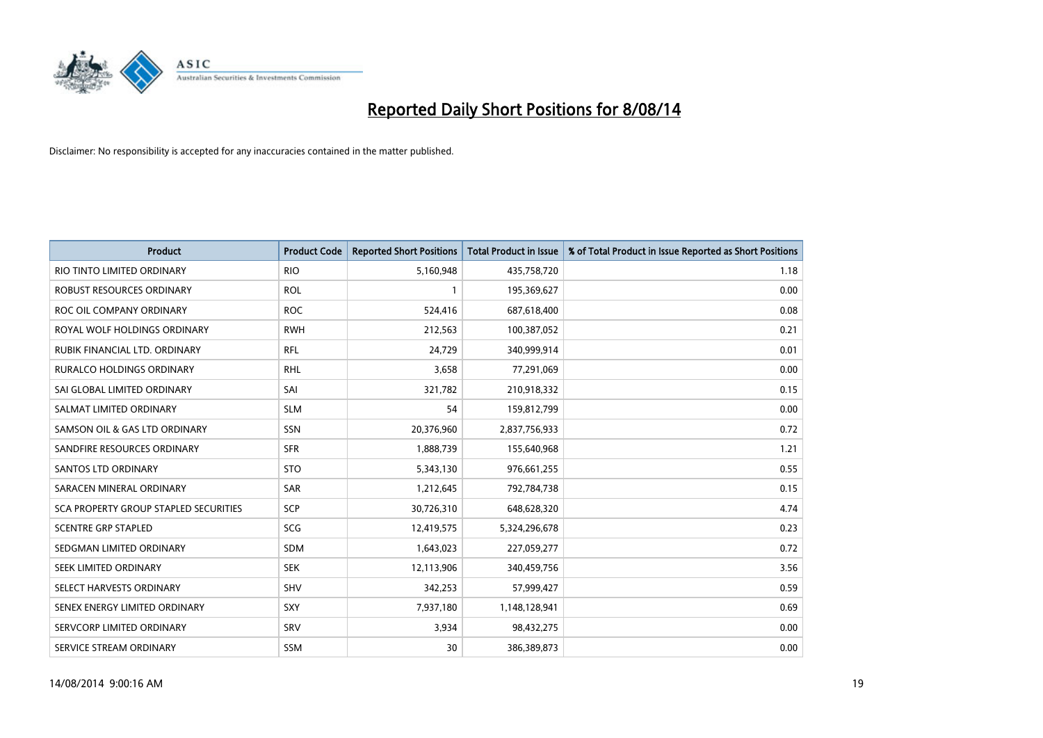

| <b>Product</b>                        | <b>Product Code</b> | <b>Reported Short Positions</b> | <b>Total Product in Issue</b> | % of Total Product in Issue Reported as Short Positions |
|---------------------------------------|---------------------|---------------------------------|-------------------------------|---------------------------------------------------------|
| RIO TINTO LIMITED ORDINARY            | <b>RIO</b>          | 5,160,948                       | 435,758,720                   | 1.18                                                    |
| ROBUST RESOURCES ORDINARY             | <b>ROL</b>          |                                 | 195,369,627                   | 0.00                                                    |
| ROC OIL COMPANY ORDINARY              | <b>ROC</b>          | 524,416                         | 687,618,400                   | 0.08                                                    |
| ROYAL WOLF HOLDINGS ORDINARY          | <b>RWH</b>          | 212,563                         | 100,387,052                   | 0.21                                                    |
| RUBIK FINANCIAL LTD. ORDINARY         | <b>RFL</b>          | 24,729                          | 340,999,914                   | 0.01                                                    |
| <b>RURALCO HOLDINGS ORDINARY</b>      | <b>RHL</b>          | 3,658                           | 77,291,069                    | 0.00                                                    |
| SAI GLOBAL LIMITED ORDINARY           | SAI                 | 321,782                         | 210,918,332                   | 0.15                                                    |
| SALMAT LIMITED ORDINARY               | <b>SLM</b>          | 54                              | 159,812,799                   | 0.00                                                    |
| SAMSON OIL & GAS LTD ORDINARY         | SSN                 | 20,376,960                      | 2,837,756,933                 | 0.72                                                    |
| SANDFIRE RESOURCES ORDINARY           | <b>SFR</b>          | 1,888,739                       | 155,640,968                   | 1.21                                                    |
| SANTOS LTD ORDINARY                   | <b>STO</b>          | 5,343,130                       | 976,661,255                   | 0.55                                                    |
| SARACEN MINERAL ORDINARY              | SAR                 | 1,212,645                       | 792,784,738                   | 0.15                                                    |
| SCA PROPERTY GROUP STAPLED SECURITIES | <b>SCP</b>          | 30,726,310                      | 648,628,320                   | 4.74                                                    |
| <b>SCENTRE GRP STAPLED</b>            | SCG                 | 12,419,575                      | 5,324,296,678                 | 0.23                                                    |
| SEDGMAN LIMITED ORDINARY              | SDM                 | 1,643,023                       | 227,059,277                   | 0.72                                                    |
| SEEK LIMITED ORDINARY                 | <b>SEK</b>          | 12,113,906                      | 340,459,756                   | 3.56                                                    |
| SELECT HARVESTS ORDINARY              | SHV                 | 342,253                         | 57,999,427                    | 0.59                                                    |
| SENEX ENERGY LIMITED ORDINARY         | <b>SXY</b>          | 7,937,180                       | 1,148,128,941                 | 0.69                                                    |
| SERVCORP LIMITED ORDINARY             | SRV                 | 3,934                           | 98,432,275                    | 0.00                                                    |
| SERVICE STREAM ORDINARY               | <b>SSM</b>          | 30                              | 386,389,873                   | 0.00                                                    |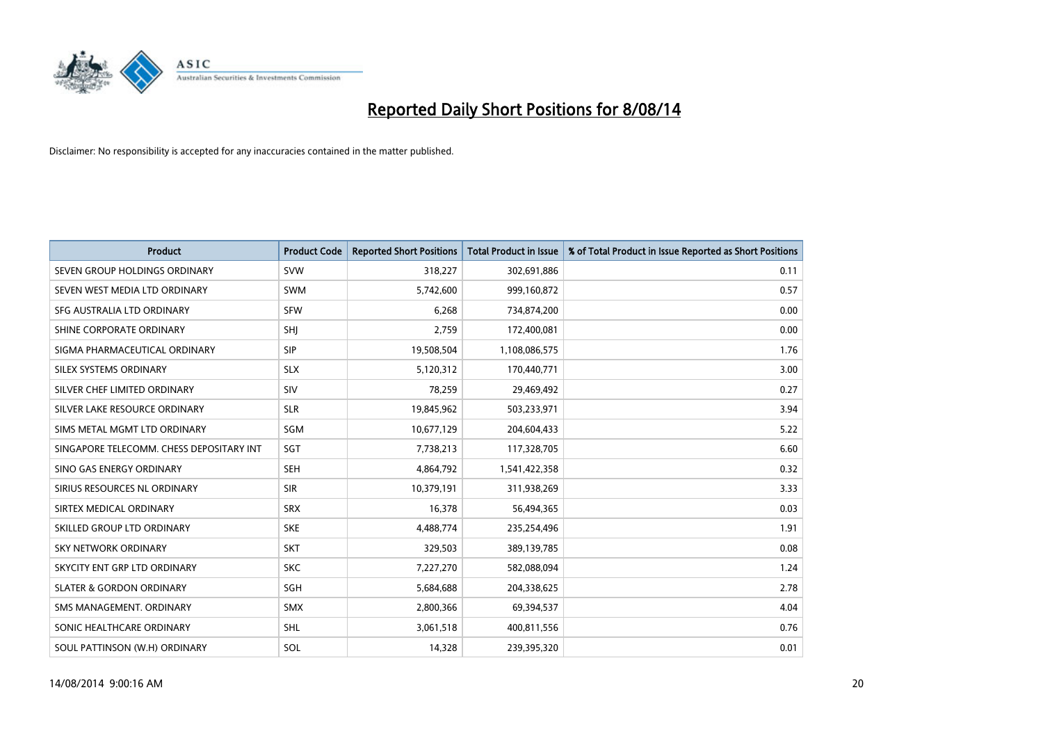

| <b>Product</b>                           | <b>Product Code</b> | <b>Reported Short Positions</b> | <b>Total Product in Issue</b> | % of Total Product in Issue Reported as Short Positions |
|------------------------------------------|---------------------|---------------------------------|-------------------------------|---------------------------------------------------------|
| SEVEN GROUP HOLDINGS ORDINARY            | <b>SVW</b>          | 318,227                         | 302,691,886                   | 0.11                                                    |
| SEVEN WEST MEDIA LTD ORDINARY            | <b>SWM</b>          | 5,742,600                       | 999,160,872                   | 0.57                                                    |
| SFG AUSTRALIA LTD ORDINARY               | <b>SFW</b>          | 6,268                           | 734,874,200                   | 0.00                                                    |
| SHINE CORPORATE ORDINARY                 | SHJ                 | 2,759                           | 172,400,081                   | 0.00                                                    |
| SIGMA PHARMACEUTICAL ORDINARY            | <b>SIP</b>          | 19,508,504                      | 1,108,086,575                 | 1.76                                                    |
| SILEX SYSTEMS ORDINARY                   | <b>SLX</b>          | 5,120,312                       | 170,440,771                   | 3.00                                                    |
| SILVER CHEF LIMITED ORDINARY             | <b>SIV</b>          | 78,259                          | 29,469,492                    | 0.27                                                    |
| SILVER LAKE RESOURCE ORDINARY            | <b>SLR</b>          | 19,845,962                      | 503,233,971                   | 3.94                                                    |
| SIMS METAL MGMT LTD ORDINARY             | SGM                 | 10,677,129                      | 204,604,433                   | 5.22                                                    |
| SINGAPORE TELECOMM. CHESS DEPOSITARY INT | SGT                 | 7,738,213                       | 117,328,705                   | 6.60                                                    |
| SINO GAS ENERGY ORDINARY                 | SEH                 | 4,864,792                       | 1,541,422,358                 | 0.32                                                    |
| SIRIUS RESOURCES NL ORDINARY             | <b>SIR</b>          | 10,379,191                      | 311,938,269                   | 3.33                                                    |
| SIRTEX MEDICAL ORDINARY                  | <b>SRX</b>          | 16,378                          | 56,494,365                    | 0.03                                                    |
| SKILLED GROUP LTD ORDINARY               | <b>SKE</b>          | 4,488,774                       | 235,254,496                   | 1.91                                                    |
| <b>SKY NETWORK ORDINARY</b>              | <b>SKT</b>          | 329,503                         | 389,139,785                   | 0.08                                                    |
| SKYCITY ENT GRP LTD ORDINARY             | <b>SKC</b>          | 7,227,270                       | 582,088,094                   | 1.24                                                    |
| <b>SLATER &amp; GORDON ORDINARY</b>      | SGH                 | 5,684,688                       | 204,338,625                   | 2.78                                                    |
| SMS MANAGEMENT, ORDINARY                 | <b>SMX</b>          | 2,800,366                       | 69,394,537                    | 4.04                                                    |
| SONIC HEALTHCARE ORDINARY                | <b>SHL</b>          | 3,061,518                       | 400,811,556                   | 0.76                                                    |
| SOUL PATTINSON (W.H) ORDINARY            | SOL                 | 14,328                          | 239,395,320                   | 0.01                                                    |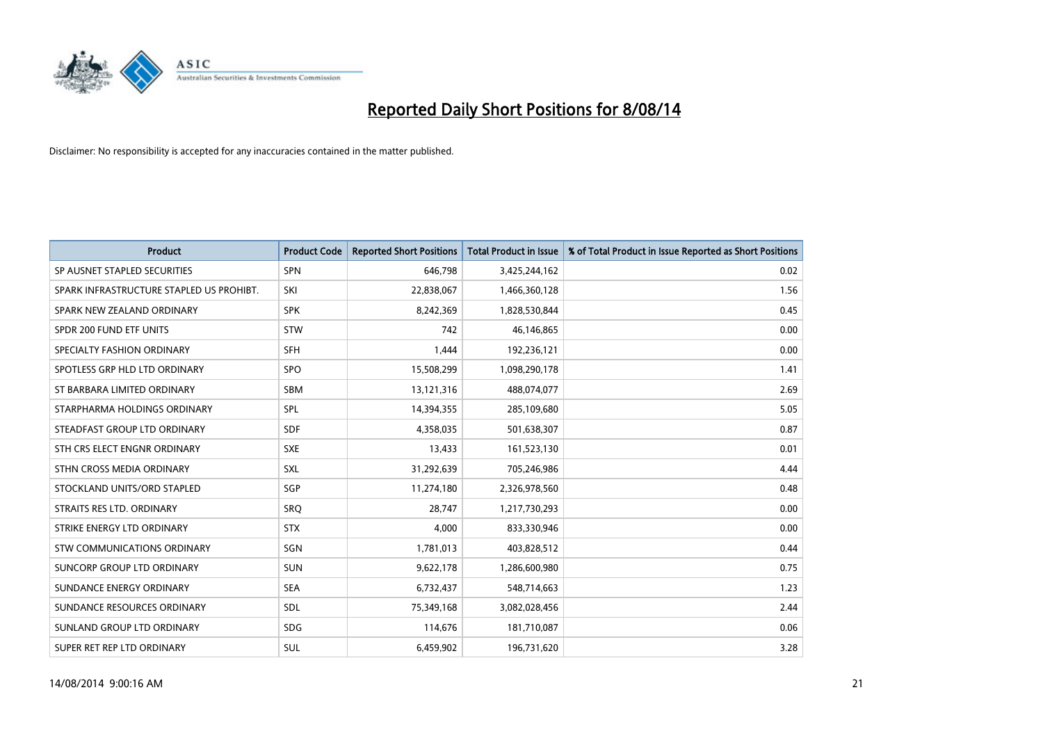

| <b>Product</b>                           | <b>Product Code</b> | <b>Reported Short Positions</b> | <b>Total Product in Issue</b> | % of Total Product in Issue Reported as Short Positions |
|------------------------------------------|---------------------|---------------------------------|-------------------------------|---------------------------------------------------------|
| SP AUSNET STAPLED SECURITIES             | <b>SPN</b>          | 646,798                         | 3,425,244,162                 | 0.02                                                    |
| SPARK INFRASTRUCTURE STAPLED US PROHIBT. | SKI                 | 22,838,067                      | 1,466,360,128                 | 1.56                                                    |
| SPARK NEW ZEALAND ORDINARY               | <b>SPK</b>          | 8,242,369                       | 1,828,530,844                 | 0.45                                                    |
| SPDR 200 FUND ETF UNITS                  | <b>STW</b>          | 742                             | 46,146,865                    | 0.00                                                    |
| SPECIALTY FASHION ORDINARY               | <b>SFH</b>          | 1,444                           | 192,236,121                   | 0.00                                                    |
| SPOTLESS GRP HLD LTD ORDINARY            | SPO                 | 15,508,299                      | 1,098,290,178                 | 1.41                                                    |
| ST BARBARA LIMITED ORDINARY              | SBM                 | 13,121,316                      | 488,074,077                   | 2.69                                                    |
| STARPHARMA HOLDINGS ORDINARY             | SPL                 | 14,394,355                      | 285,109,680                   | 5.05                                                    |
| STEADFAST GROUP LTD ORDINARY             | <b>SDF</b>          | 4,358,035                       | 501,638,307                   | 0.87                                                    |
| STH CRS ELECT ENGNR ORDINARY             | <b>SXE</b>          | 13,433                          | 161,523,130                   | 0.01                                                    |
| STHN CROSS MEDIA ORDINARY                | <b>SXL</b>          | 31,292,639                      | 705,246,986                   | 4.44                                                    |
| STOCKLAND UNITS/ORD STAPLED              | SGP                 | 11,274,180                      | 2,326,978,560                 | 0.48                                                    |
| STRAITS RES LTD. ORDINARY                | SRO                 | 28,747                          | 1,217,730,293                 | 0.00                                                    |
| STRIKE ENERGY LTD ORDINARY               | <b>STX</b>          | 4,000                           | 833,330,946                   | 0.00                                                    |
| <b>STW COMMUNICATIONS ORDINARY</b>       | SGN                 | 1,781,013                       | 403,828,512                   | 0.44                                                    |
| SUNCORP GROUP LTD ORDINARY               | <b>SUN</b>          | 9,622,178                       | 1,286,600,980                 | 0.75                                                    |
| SUNDANCE ENERGY ORDINARY                 | <b>SEA</b>          | 6,732,437                       | 548,714,663                   | 1.23                                                    |
| SUNDANCE RESOURCES ORDINARY              | <b>SDL</b>          | 75,349,168                      | 3,082,028,456                 | 2.44                                                    |
| SUNLAND GROUP LTD ORDINARY               | <b>SDG</b>          | 114,676                         | 181,710,087                   | 0.06                                                    |
| SUPER RET REP LTD ORDINARY               | <b>SUL</b>          | 6,459,902                       | 196,731,620                   | 3.28                                                    |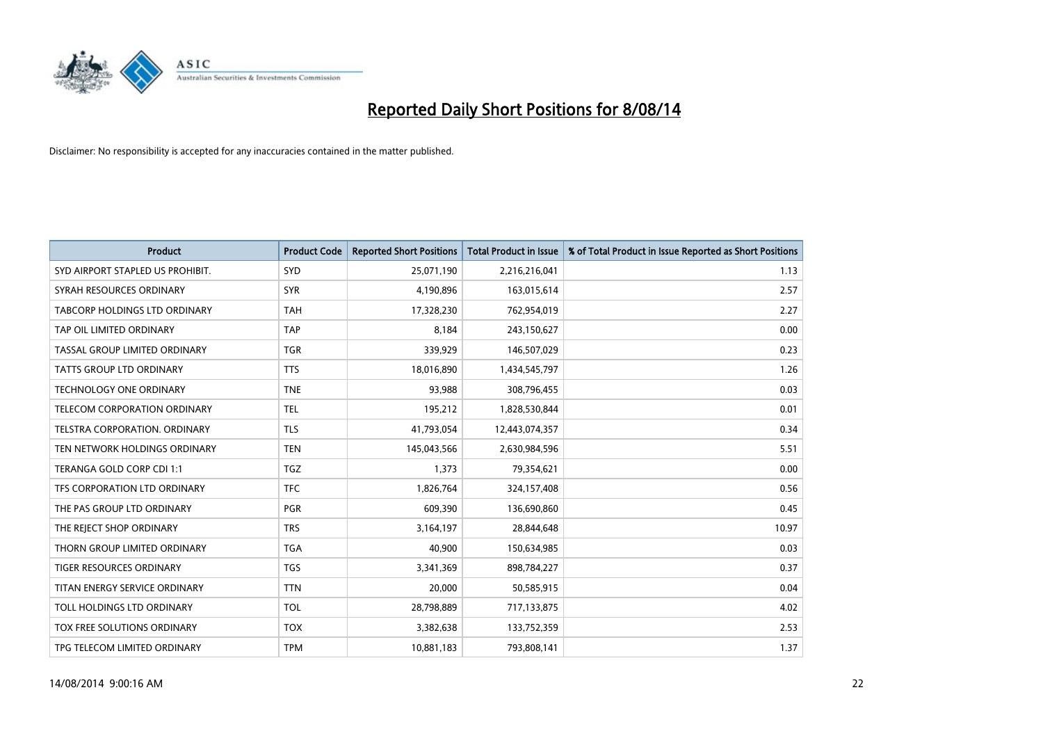

| <b>Product</b>                   | <b>Product Code</b> | <b>Reported Short Positions</b> | <b>Total Product in Issue</b> | % of Total Product in Issue Reported as Short Positions |
|----------------------------------|---------------------|---------------------------------|-------------------------------|---------------------------------------------------------|
| SYD AIRPORT STAPLED US PROHIBIT. | SYD                 | 25,071,190                      | 2,216,216,041                 | 1.13                                                    |
| SYRAH RESOURCES ORDINARY         | <b>SYR</b>          | 4,190,896                       | 163,015,614                   | 2.57                                                    |
| TABCORP HOLDINGS LTD ORDINARY    | <b>TAH</b>          | 17,328,230                      | 762,954,019                   | 2.27                                                    |
| TAP OIL LIMITED ORDINARY         | <b>TAP</b>          | 8,184                           | 243,150,627                   | 0.00                                                    |
| TASSAL GROUP LIMITED ORDINARY    | <b>TGR</b>          | 339,929                         | 146,507,029                   | 0.23                                                    |
| <b>TATTS GROUP LTD ORDINARY</b>  | <b>TTS</b>          | 18,016,890                      | 1,434,545,797                 | 1.26                                                    |
| <b>TECHNOLOGY ONE ORDINARY</b>   | <b>TNE</b>          | 93,988                          | 308,796,455                   | 0.03                                                    |
| TELECOM CORPORATION ORDINARY     | <b>TEL</b>          | 195,212                         | 1,828,530,844                 | 0.01                                                    |
| TELSTRA CORPORATION. ORDINARY    | <b>TLS</b>          | 41,793,054                      | 12,443,074,357                | 0.34                                                    |
| TEN NETWORK HOLDINGS ORDINARY    | <b>TEN</b>          | 145,043,566                     | 2,630,984,596                 | 5.51                                                    |
| TERANGA GOLD CORP CDI 1:1        | <b>TGZ</b>          | 1,373                           | 79,354,621                    | 0.00                                                    |
| TFS CORPORATION LTD ORDINARY     | <b>TFC</b>          | 1,826,764                       | 324,157,408                   | 0.56                                                    |
| THE PAS GROUP LTD ORDINARY       | <b>PGR</b>          | 609,390                         | 136,690,860                   | 0.45                                                    |
| THE REJECT SHOP ORDINARY         | <b>TRS</b>          | 3,164,197                       | 28,844,648                    | 10.97                                                   |
| THORN GROUP LIMITED ORDINARY     | <b>TGA</b>          | 40,900                          | 150,634,985                   | 0.03                                                    |
| TIGER RESOURCES ORDINARY         | <b>TGS</b>          | 3,341,369                       | 898,784,227                   | 0.37                                                    |
| TITAN ENERGY SERVICE ORDINARY    | <b>TTN</b>          | 20,000                          | 50,585,915                    | 0.04                                                    |
| TOLL HOLDINGS LTD ORDINARY       | <b>TOL</b>          | 28,798,889                      | 717,133,875                   | 4.02                                                    |
| TOX FREE SOLUTIONS ORDINARY      | <b>TOX</b>          | 3,382,638                       | 133,752,359                   | 2.53                                                    |
| TPG TELECOM LIMITED ORDINARY     | <b>TPM</b>          | 10,881,183                      | 793,808,141                   | 1.37                                                    |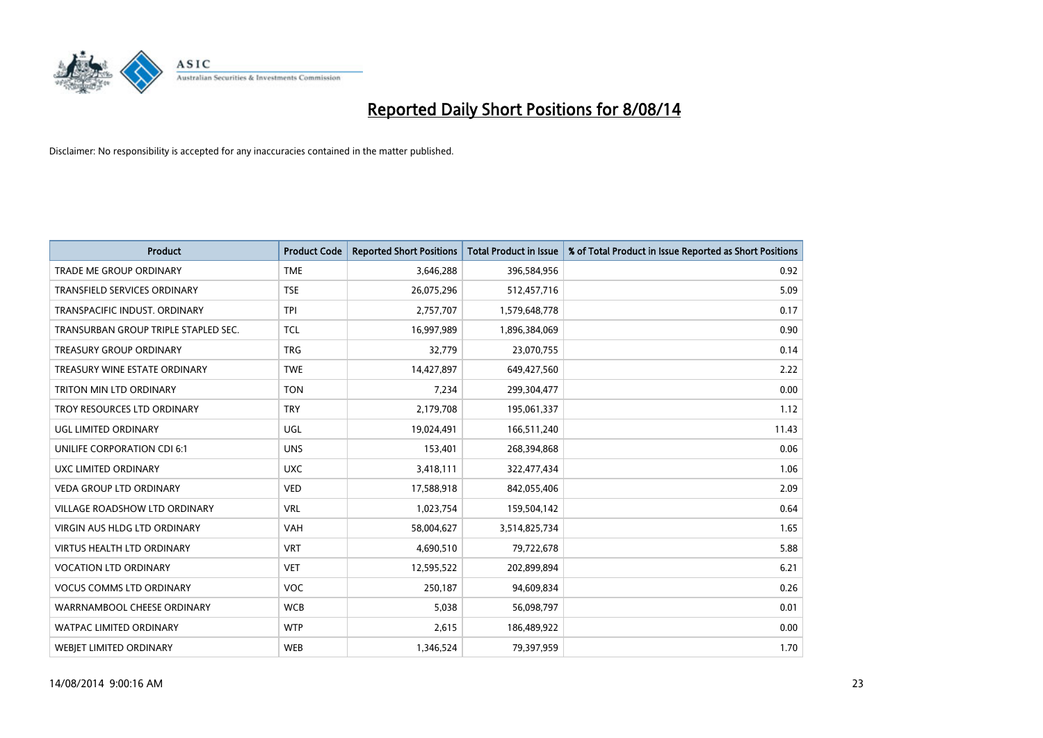

| <b>Product</b>                       | <b>Product Code</b> | <b>Reported Short Positions</b> | <b>Total Product in Issue</b> | % of Total Product in Issue Reported as Short Positions |
|--------------------------------------|---------------------|---------------------------------|-------------------------------|---------------------------------------------------------|
| <b>TRADE ME GROUP ORDINARY</b>       | <b>TME</b>          | 3,646,288                       | 396,584,956                   | 0.92                                                    |
| TRANSFIELD SERVICES ORDINARY         | <b>TSE</b>          | 26,075,296                      | 512,457,716                   | 5.09                                                    |
| TRANSPACIFIC INDUST, ORDINARY        | <b>TPI</b>          | 2,757,707                       | 1,579,648,778                 | 0.17                                                    |
| TRANSURBAN GROUP TRIPLE STAPLED SEC. | TCL                 | 16,997,989                      | 1,896,384,069                 | 0.90                                                    |
| <b>TREASURY GROUP ORDINARY</b>       | <b>TRG</b>          | 32,779                          | 23,070,755                    | 0.14                                                    |
| TREASURY WINE ESTATE ORDINARY        | <b>TWE</b>          | 14,427,897                      | 649,427,560                   | 2.22                                                    |
| TRITON MIN LTD ORDINARY              | <b>TON</b>          | 7,234                           | 299,304,477                   | 0.00                                                    |
| TROY RESOURCES LTD ORDINARY          | <b>TRY</b>          | 2,179,708                       | 195,061,337                   | 1.12                                                    |
| UGL LIMITED ORDINARY                 | UGL                 | 19,024,491                      | 166,511,240                   | 11.43                                                   |
| UNILIFE CORPORATION CDI 6:1          | <b>UNS</b>          | 153,401                         | 268,394,868                   | 0.06                                                    |
| UXC LIMITED ORDINARY                 | <b>UXC</b>          | 3,418,111                       | 322,477,434                   | 1.06                                                    |
| <b>VEDA GROUP LTD ORDINARY</b>       | <b>VED</b>          | 17,588,918                      | 842,055,406                   | 2.09                                                    |
| VILLAGE ROADSHOW LTD ORDINARY        | <b>VRL</b>          | 1,023,754                       | 159,504,142                   | 0.64                                                    |
| <b>VIRGIN AUS HLDG LTD ORDINARY</b>  | VAH                 | 58,004,627                      | 3,514,825,734                 | 1.65                                                    |
| <b>VIRTUS HEALTH LTD ORDINARY</b>    | <b>VRT</b>          | 4,690,510                       | 79,722,678                    | 5.88                                                    |
| <b>VOCATION LTD ORDINARY</b>         | <b>VET</b>          | 12,595,522                      | 202,899,894                   | 6.21                                                    |
| <b>VOCUS COMMS LTD ORDINARY</b>      | VOC                 | 250,187                         | 94,609,834                    | 0.26                                                    |
| WARRNAMBOOL CHEESE ORDINARY          | <b>WCB</b>          | 5,038                           | 56,098,797                    | 0.01                                                    |
| <b>WATPAC LIMITED ORDINARY</b>       | <b>WTP</b>          | 2,615                           | 186,489,922                   | 0.00                                                    |
| <b>WEBJET LIMITED ORDINARY</b>       | <b>WEB</b>          | 1,346,524                       | 79,397,959                    | 1.70                                                    |